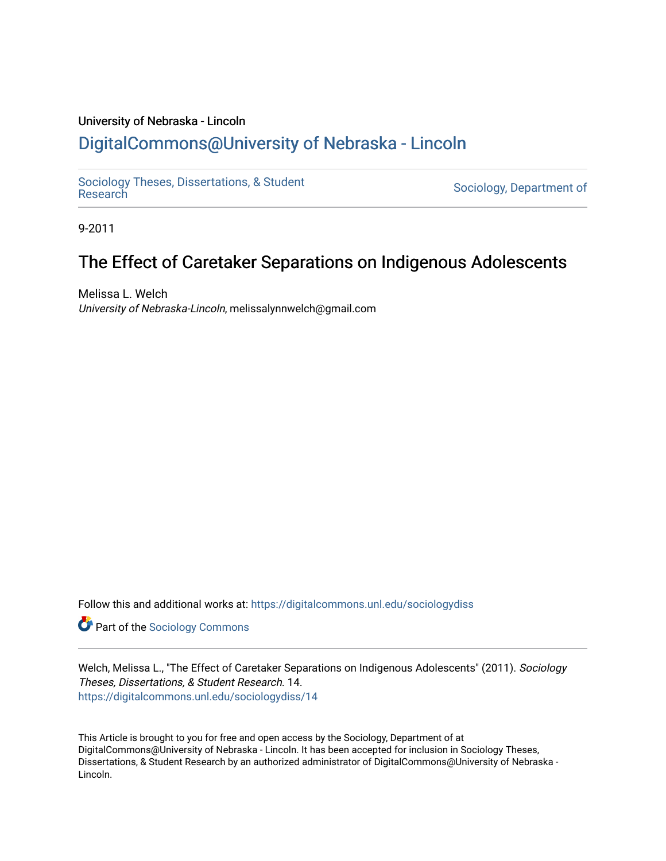# University of Nebraska - Lincoln

# [DigitalCommons@University of Nebraska - Lincoln](https://digitalcommons.unl.edu/)

[Sociology Theses, Dissertations, & Student](https://digitalcommons.unl.edu/sociologydiss)

Sociology, Department of

9-2011

# The Effect of Caretaker Separations on Indigenous Adolescents

Melissa L. Welch University of Nebraska-Lincoln, melissalynnwelch@gmail.com

Follow this and additional works at: [https://digitalcommons.unl.edu/sociologydiss](https://digitalcommons.unl.edu/sociologydiss?utm_source=digitalcommons.unl.edu%2Fsociologydiss%2F14&utm_medium=PDF&utm_campaign=PDFCoverPages) 

**Part of the [Sociology Commons](http://network.bepress.com/hgg/discipline/416?utm_source=digitalcommons.unl.edu%2Fsociologydiss%2F14&utm_medium=PDF&utm_campaign=PDFCoverPages)** 

Welch, Melissa L., "The Effect of Caretaker Separations on Indigenous Adolescents" (2011). Sociology Theses, Dissertations, & Student Research. 14. [https://digitalcommons.unl.edu/sociologydiss/14](https://digitalcommons.unl.edu/sociologydiss/14?utm_source=digitalcommons.unl.edu%2Fsociologydiss%2F14&utm_medium=PDF&utm_campaign=PDFCoverPages)

This Article is brought to you for free and open access by the Sociology, Department of at DigitalCommons@University of Nebraska - Lincoln. It has been accepted for inclusion in Sociology Theses, Dissertations, & Student Research by an authorized administrator of DigitalCommons@University of Nebraska -Lincoln.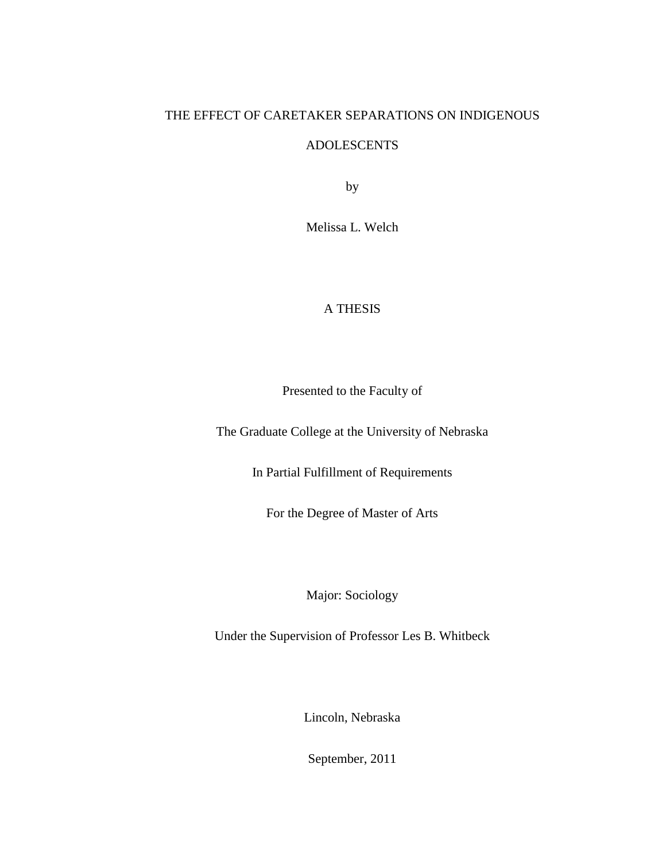# THE EFFECT OF CARETAKER SEPARATIONS ON INDIGENOUS

# ADOLESCENTS

by

Melissa L. Welch

# A THESIS

Presented to the Faculty of

The Graduate College at the University of Nebraska

In Partial Fulfillment of Requirements

For the Degree of Master of Arts

Major: Sociology

Under the Supervision of Professor Les B. Whitbeck

Lincoln, Nebraska

September, 2011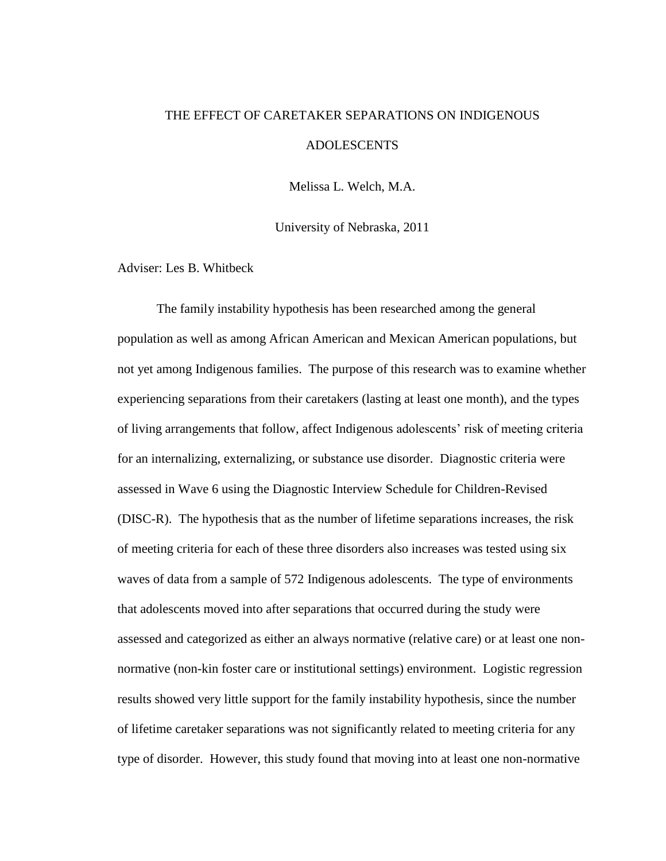# THE EFFECT OF CARETAKER SEPARATIONS ON INDIGENOUS ADOLESCENTS

Melissa L. Welch, M.A.

University of Nebraska, 2011

Adviser: Les B. Whitbeck

The family instability hypothesis has been researched among the general population as well as among African American and Mexican American populations, but not yet among Indigenous families. The purpose of this research was to examine whether experiencing separations from their caretakers (lasting at least one month), and the types of living arrangements that follow, affect Indigenous adolescents' risk of meeting criteria for an internalizing, externalizing, or substance use disorder. Diagnostic criteria were assessed in Wave 6 using the Diagnostic Interview Schedule for Children-Revised (DISC-R). The hypothesis that as the number of lifetime separations increases, the risk of meeting criteria for each of these three disorders also increases was tested using six waves of data from a sample of 572 Indigenous adolescents. The type of environments that adolescents moved into after separations that occurred during the study were assessed and categorized as either an always normative (relative care) or at least one nonnormative (non-kin foster care or institutional settings) environment. Logistic regression results showed very little support for the family instability hypothesis, since the number of lifetime caretaker separations was not significantly related to meeting criteria for any type of disorder. However, this study found that moving into at least one non-normative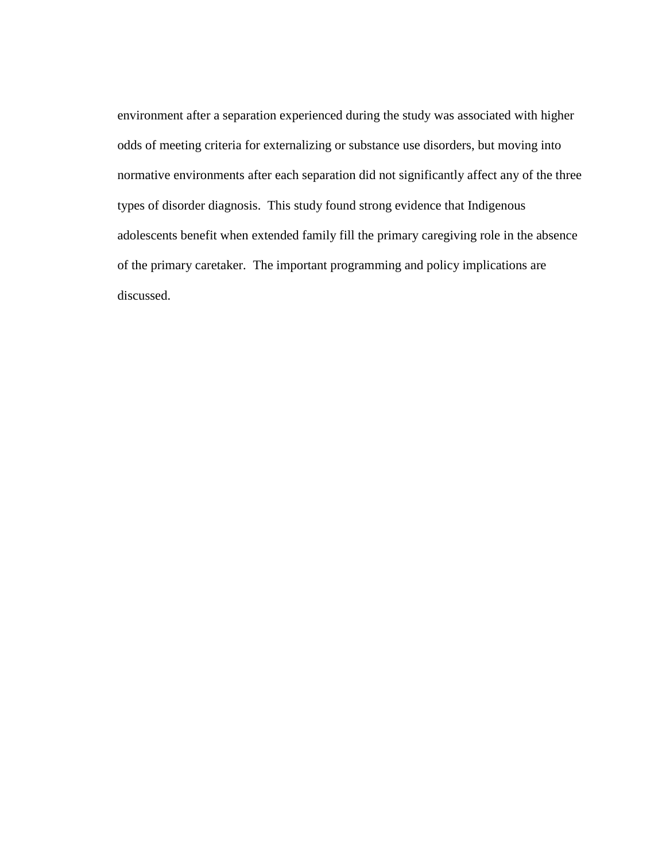environment after a separation experienced during the study was associated with higher odds of meeting criteria for externalizing or substance use disorders, but moving into normative environments after each separation did not significantly affect any of the three types of disorder diagnosis. This study found strong evidence that Indigenous adolescents benefit when extended family fill the primary caregiving role in the absence of the primary caretaker. The important programming and policy implications are discussed.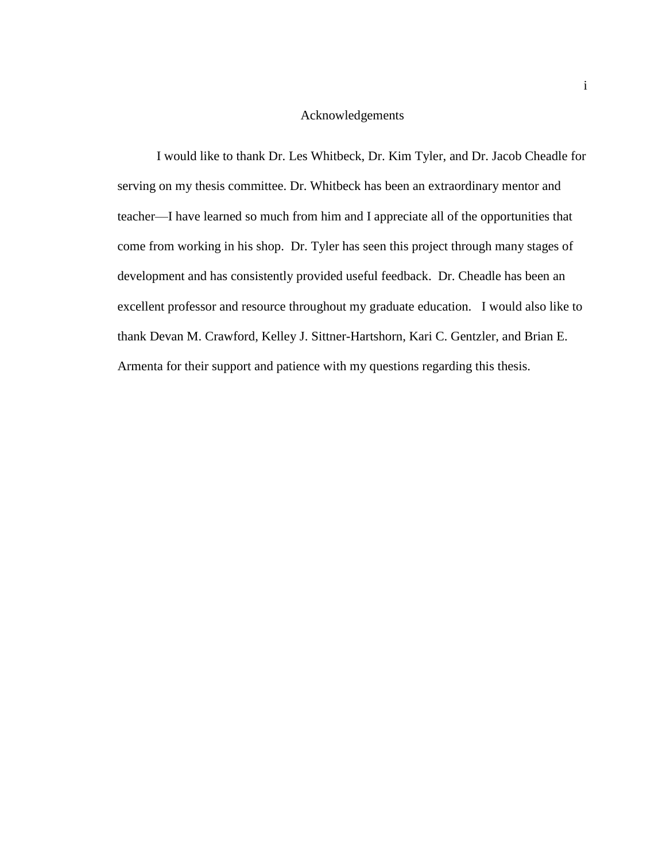# Acknowledgements

I would like to thank Dr. Les Whitbeck, Dr. Kim Tyler, and Dr. Jacob Cheadle for serving on my thesis committee. Dr. Whitbeck has been an extraordinary mentor and teacher—I have learned so much from him and I appreciate all of the opportunities that come from working in his shop. Dr. Tyler has seen this project through many stages of development and has consistently provided useful feedback. Dr. Cheadle has been an excellent professor and resource throughout my graduate education. I would also like to thank Devan M. Crawford, Kelley J. Sittner-Hartshorn, Kari C. Gentzler, and Brian E. Armenta for their support and patience with my questions regarding this thesis.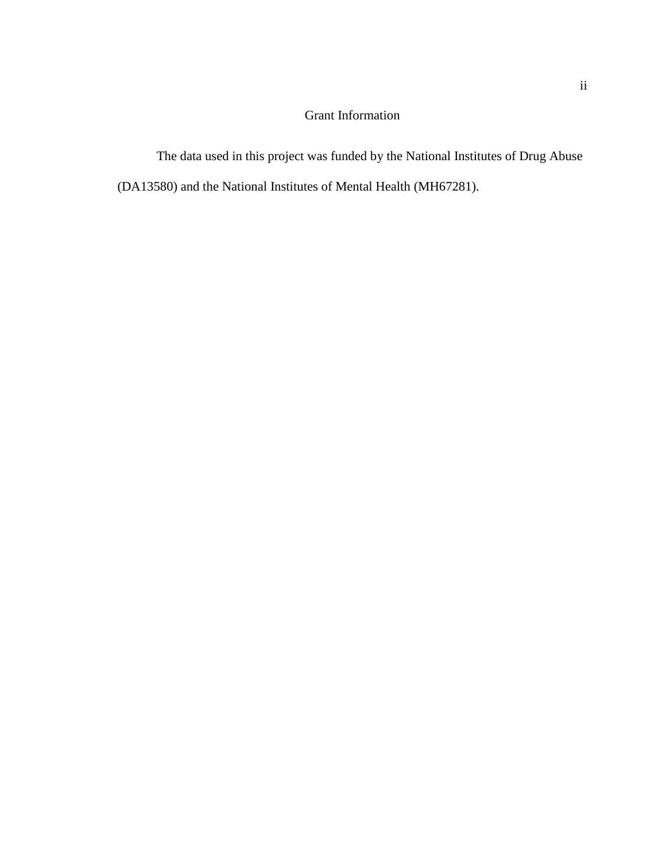# Grant Information

The data used in this project was funded by the National Institutes of Drug Abuse (DA13580) and the National Institutes of Mental Health (MH67281).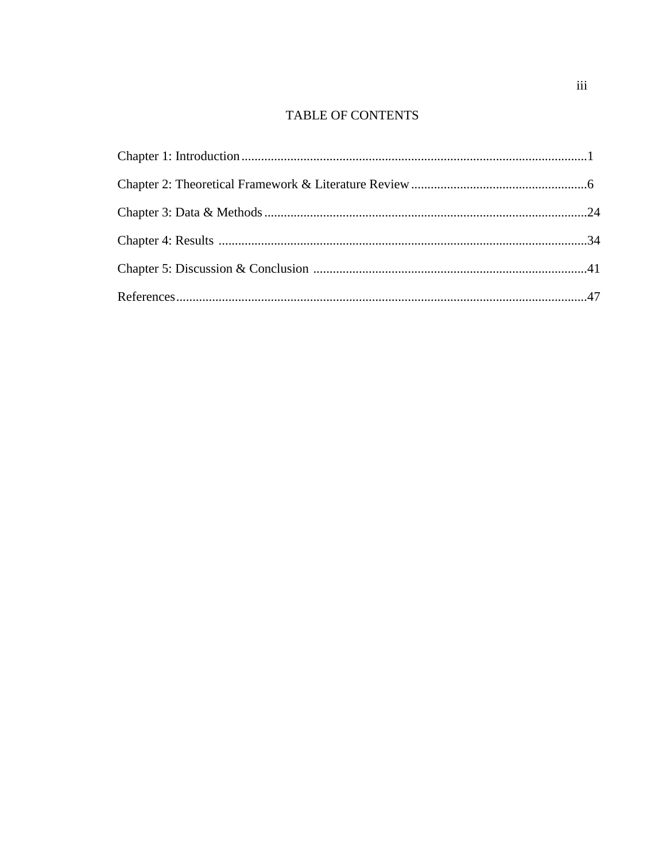# TABLE OF CONTENTS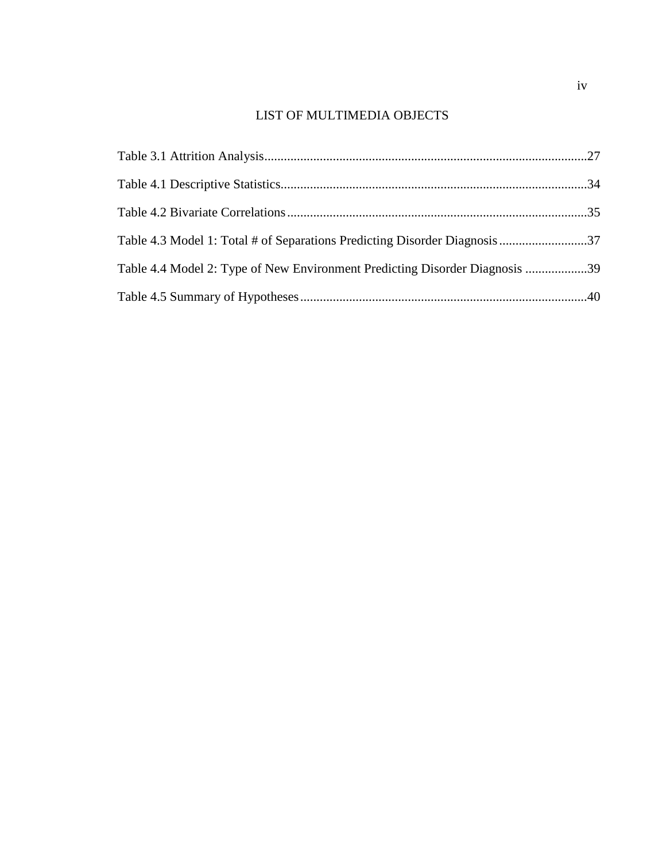# LIST OF MULTIMEDIA OBJECTS

| Table 4.3 Model 1: Total # of Separations Predicting Disorder Diagnosis37   |  |
|-----------------------------------------------------------------------------|--|
| Table 4.4 Model 2: Type of New Environment Predicting Disorder Diagnosis 39 |  |
|                                                                             |  |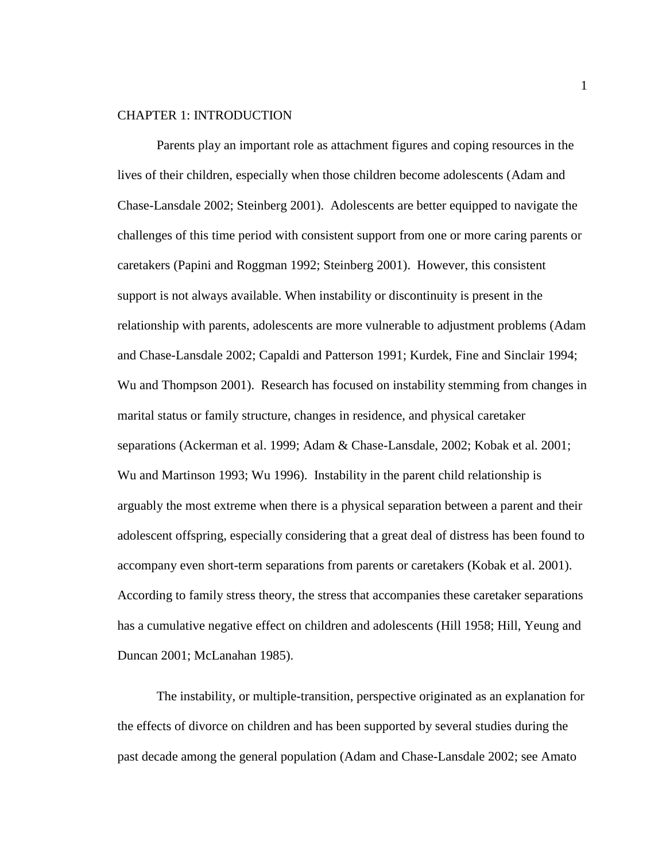### CHAPTER 1: INTRODUCTION

Parents play an important role as attachment figures and coping resources in the lives of their children, especially when those children become adolescents (Adam and Chase-Lansdale 2002; Steinberg 2001). Adolescents are better equipped to navigate the challenges of this time period with consistent support from one or more caring parents or caretakers (Papini and Roggman 1992; Steinberg 2001). However, this consistent support is not always available. When instability or discontinuity is present in the relationship with parents, adolescents are more vulnerable to adjustment problems (Adam and Chase-Lansdale 2002; Capaldi and Patterson 1991; Kurdek, Fine and Sinclair 1994; Wu and Thompson 2001). Research has focused on instability stemming from changes in marital status or family structure, changes in residence, and physical caretaker separations (Ackerman et al. 1999; Adam & Chase-Lansdale, 2002; Kobak et al. 2001; Wu and Martinson 1993; Wu 1996). Instability in the parent child relationship is arguably the most extreme when there is a physical separation between a parent and their adolescent offspring, especially considering that a great deal of distress has been found to accompany even short-term separations from parents or caretakers (Kobak et al. 2001). According to family stress theory, the stress that accompanies these caretaker separations has a cumulative negative effect on children and adolescents (Hill 1958; Hill, Yeung and Duncan 2001; McLanahan 1985).

The instability, or multiple-transition, perspective originated as an explanation for the effects of divorce on children and has been supported by several studies during the past decade among the general population (Adam and Chase-Lansdale 2002; see Amato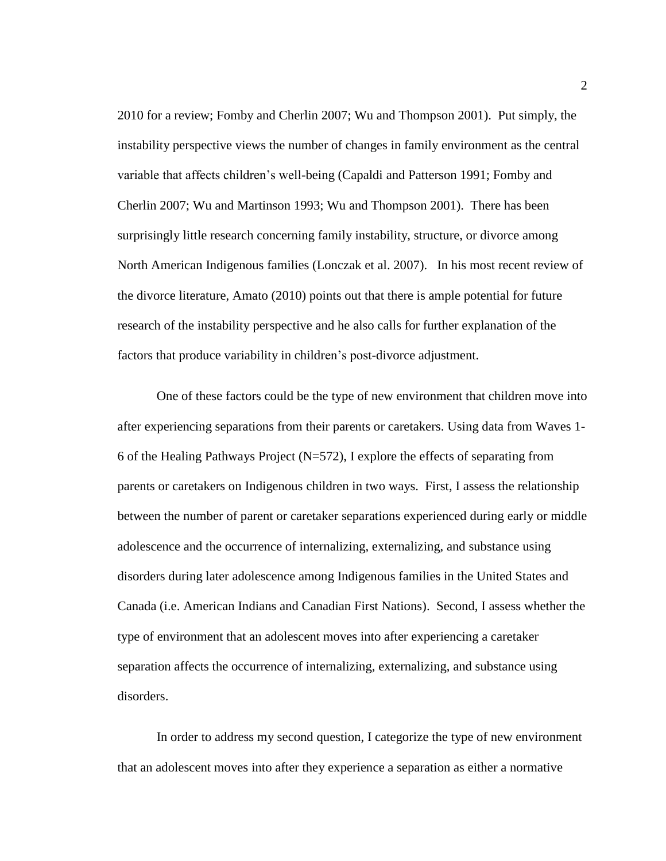2010 for a review; Fomby and Cherlin 2007; Wu and Thompson 2001). Put simply, the instability perspective views the number of changes in family environment as the central variable that affects children's well-being (Capaldi and Patterson 1991; Fomby and Cherlin 2007; Wu and Martinson 1993; Wu and Thompson 2001). There has been surprisingly little research concerning family instability, structure, or divorce among North American Indigenous families (Lonczak et al. 2007). In his most recent review of the divorce literature, Amato (2010) points out that there is ample potential for future research of the instability perspective and he also calls for further explanation of the factors that produce variability in children's post-divorce adjustment.

One of these factors could be the type of new environment that children move into after experiencing separations from their parents or caretakers. Using data from Waves 1- 6 of the Healing Pathways Project  $(N=572)$ , I explore the effects of separating from parents or caretakers on Indigenous children in two ways. First, I assess the relationship between the number of parent or caretaker separations experienced during early or middle adolescence and the occurrence of internalizing, externalizing, and substance using disorders during later adolescence among Indigenous families in the United States and Canada (i.e. American Indians and Canadian First Nations). Second, I assess whether the type of environment that an adolescent moves into after experiencing a caretaker separation affects the occurrence of internalizing, externalizing, and substance using disorders.

In order to address my second question, I categorize the type of new environment that an adolescent moves into after they experience a separation as either a normative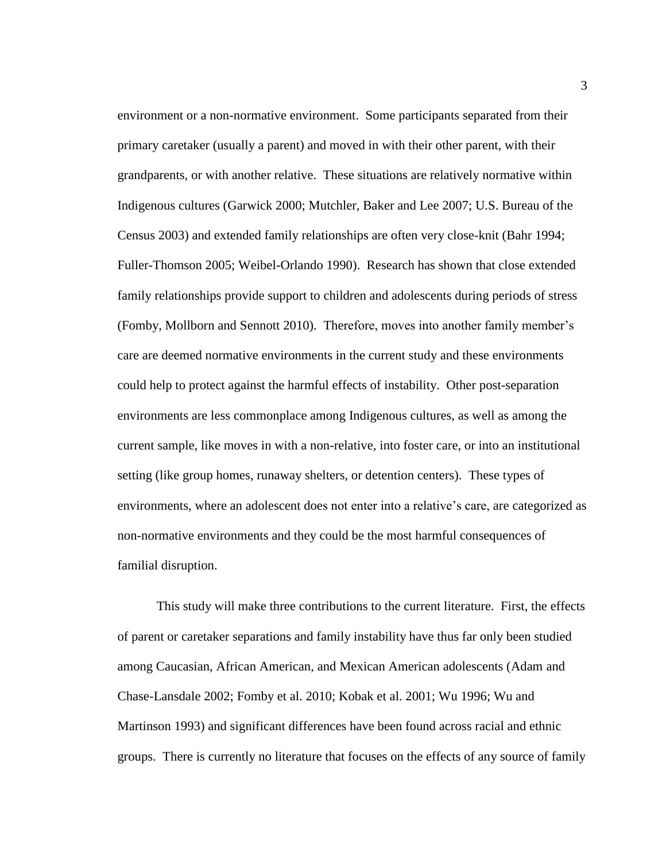environment or a non-normative environment. Some participants separated from their primary caretaker (usually a parent) and moved in with their other parent, with their grandparents, or with another relative. These situations are relatively normative within Indigenous cultures (Garwick 2000; Mutchler, Baker and Lee 2007; U.S. Bureau of the Census 2003) and extended family relationships are often very close-knit (Bahr 1994; Fuller-Thomson 2005; Weibel-Orlando 1990). Research has shown that close extended family relationships provide support to children and adolescents during periods of stress (Fomby, Mollborn and Sennott 2010). Therefore, moves into another family member's care are deemed normative environments in the current study and these environments could help to protect against the harmful effects of instability. Other post-separation environments are less commonplace among Indigenous cultures, as well as among the current sample, like moves in with a non-relative, into foster care, or into an institutional setting (like group homes, runaway shelters, or detention centers). These types of environments, where an adolescent does not enter into a relative's care, are categorized as non-normative environments and they could be the most harmful consequences of familial disruption.

This study will make three contributions to the current literature. First, the effects of parent or caretaker separations and family instability have thus far only been studied among Caucasian, African American, and Mexican American adolescents (Adam and Chase-Lansdale 2002; Fomby et al. 2010; Kobak et al. 2001; Wu 1996; Wu and Martinson 1993) and significant differences have been found across racial and ethnic groups. There is currently no literature that focuses on the effects of any source of family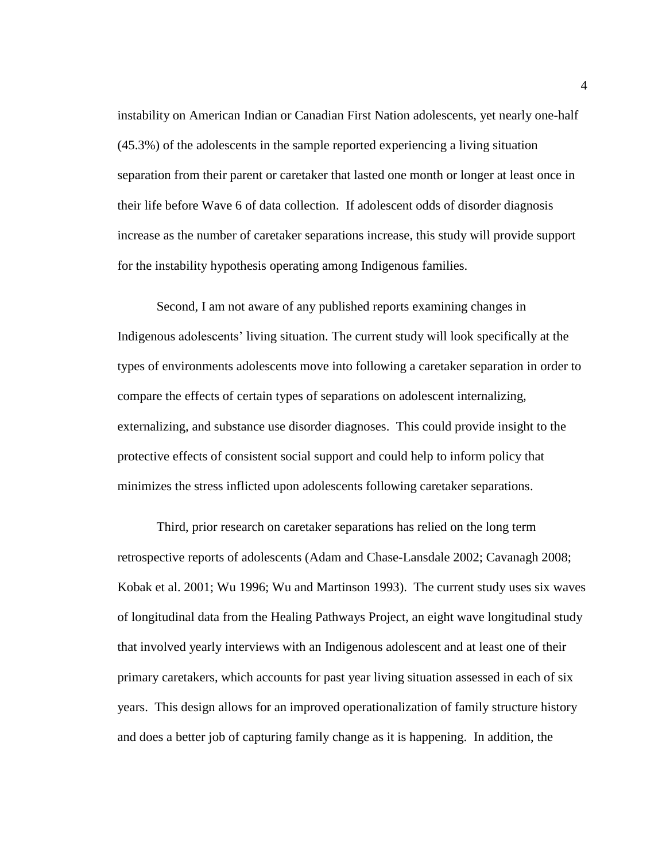instability on American Indian or Canadian First Nation adolescents, yet nearly one-half (45.3%) of the adolescents in the sample reported experiencing a living situation separation from their parent or caretaker that lasted one month or longer at least once in their life before Wave 6 of data collection. If adolescent odds of disorder diagnosis increase as the number of caretaker separations increase, this study will provide support for the instability hypothesis operating among Indigenous families.

Second, I am not aware of any published reports examining changes in Indigenous adolescents' living situation. The current study will look specifically at the types of environments adolescents move into following a caretaker separation in order to compare the effects of certain types of separations on adolescent internalizing, externalizing, and substance use disorder diagnoses. This could provide insight to the protective effects of consistent social support and could help to inform policy that minimizes the stress inflicted upon adolescents following caretaker separations.

Third, prior research on caretaker separations has relied on the long term retrospective reports of adolescents (Adam and Chase-Lansdale 2002; Cavanagh 2008; Kobak et al. 2001; Wu 1996; Wu and Martinson 1993). The current study uses six waves of longitudinal data from the Healing Pathways Project, an eight wave longitudinal study that involved yearly interviews with an Indigenous adolescent and at least one of their primary caretakers, which accounts for past year living situation assessed in each of six years. This design allows for an improved operationalization of family structure history and does a better job of capturing family change as it is happening. In addition, the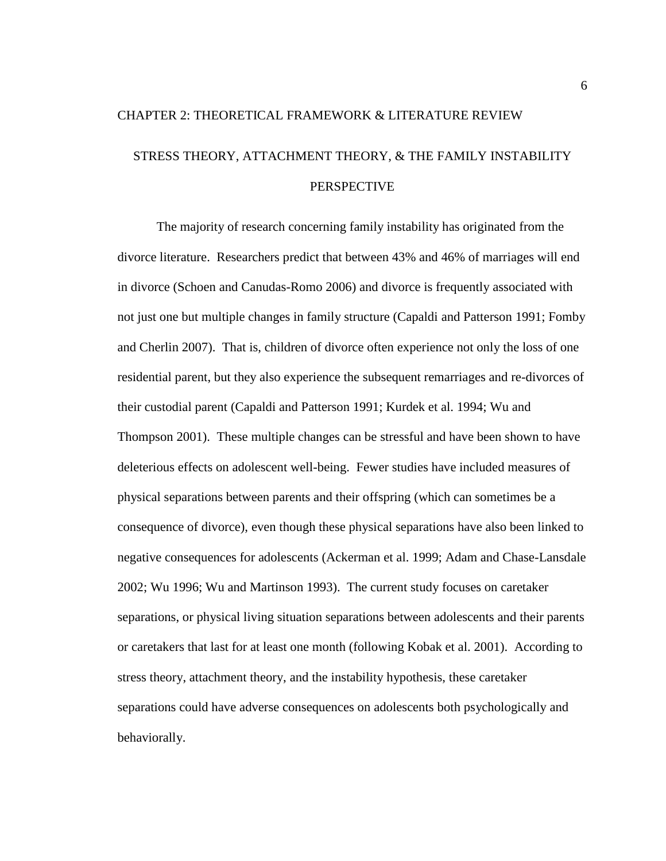# CHAPTER 2: THEORETICAL FRAMEWORK & LITERATURE REVIEW STRESS THEORY, ATTACHMENT THEORY, & THE FAMILY INSTABILITY PERSPECTIVE

The majority of research concerning family instability has originated from the divorce literature. Researchers predict that between 43% and 46% of marriages will end in divorce (Schoen and Canudas-Romo 2006) and divorce is frequently associated with not just one but multiple changes in family structure (Capaldi and Patterson 1991; Fomby and Cherlin 2007). That is, children of divorce often experience not only the loss of one residential parent, but they also experience the subsequent remarriages and re-divorces of their custodial parent (Capaldi and Patterson 1991; Kurdek et al. 1994; Wu and Thompson 2001). These multiple changes can be stressful and have been shown to have deleterious effects on adolescent well-being. Fewer studies have included measures of physical separations between parents and their offspring (which can sometimes be a consequence of divorce), even though these physical separations have also been linked to negative consequences for adolescents (Ackerman et al. 1999; Adam and Chase-Lansdale 2002; Wu 1996; Wu and Martinson 1993). The current study focuses on caretaker separations, or physical living situation separations between adolescents and their parents or caretakers that last for at least one month (following Kobak et al. 2001). According to stress theory, attachment theory, and the instability hypothesis, these caretaker separations could have adverse consequences on adolescents both psychologically and behaviorally.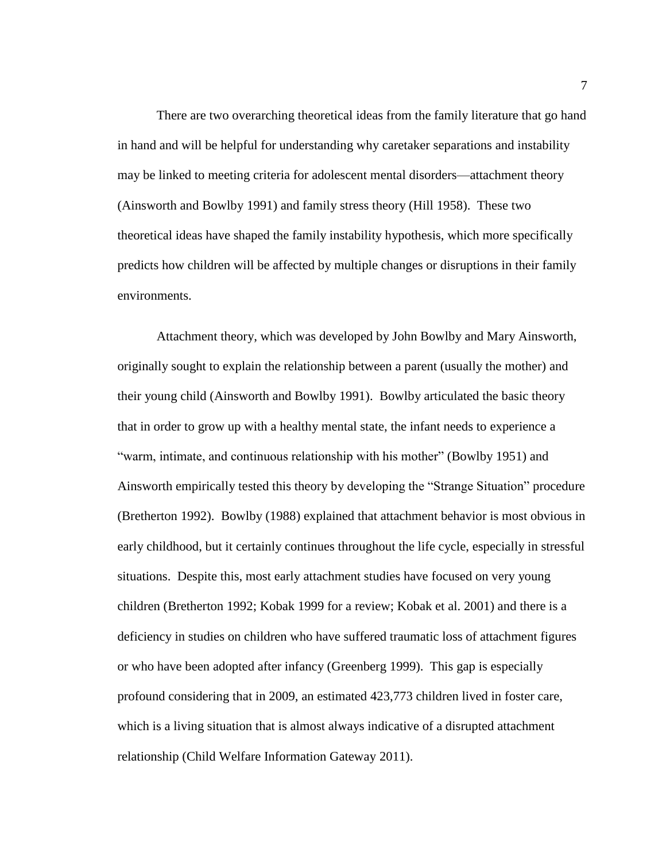There are two overarching theoretical ideas from the family literature that go hand in hand and will be helpful for understanding why caretaker separations and instability may be linked to meeting criteria for adolescent mental disorders—attachment theory (Ainsworth and Bowlby 1991) and family stress theory (Hill 1958). These two theoretical ideas have shaped the family instability hypothesis, which more specifically predicts how children will be affected by multiple changes or disruptions in their family environments.

Attachment theory, which was developed by John Bowlby and Mary Ainsworth, originally sought to explain the relationship between a parent (usually the mother) and their young child (Ainsworth and Bowlby 1991). Bowlby articulated the basic theory that in order to grow up with a healthy mental state, the infant needs to experience a "warm, intimate, and continuous relationship with his mother" (Bowlby 1951) and Ainsworth empirically tested this theory by developing the "Strange Situation" procedure (Bretherton 1992). Bowlby (1988) explained that attachment behavior is most obvious in early childhood, but it certainly continues throughout the life cycle, especially in stressful situations. Despite this, most early attachment studies have focused on very young children (Bretherton 1992; Kobak 1999 for a review; Kobak et al. 2001) and there is a deficiency in studies on children who have suffered traumatic loss of attachment figures or who have been adopted after infancy (Greenberg 1999). This gap is especially profound considering that in 2009, an estimated 423,773 children lived in foster care, which is a living situation that is almost always indicative of a disrupted attachment relationship (Child Welfare Information Gateway 2011).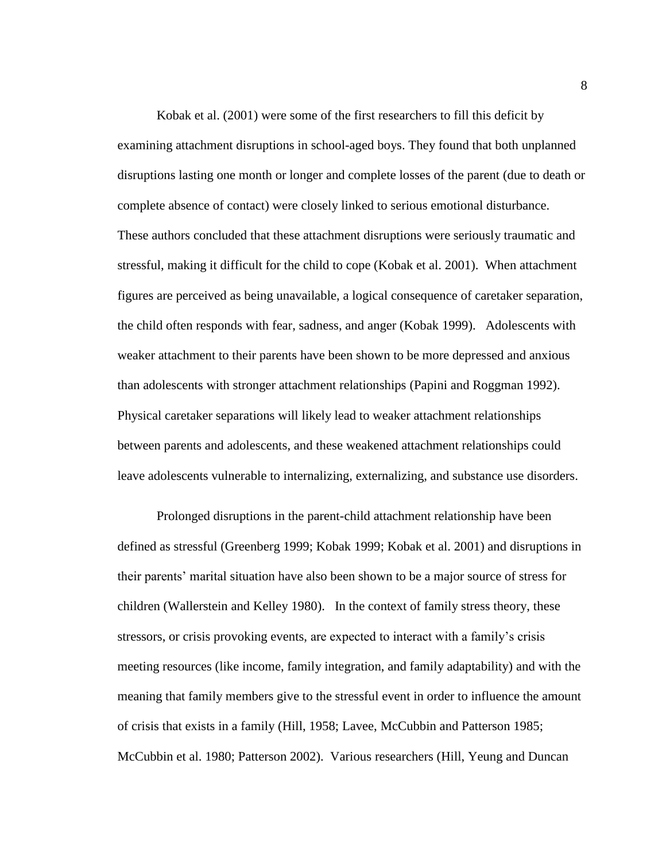Kobak et al. (2001) were some of the first researchers to fill this deficit by examining attachment disruptions in school-aged boys. They found that both unplanned disruptions lasting one month or longer and complete losses of the parent (due to death or complete absence of contact) were closely linked to serious emotional disturbance. These authors concluded that these attachment disruptions were seriously traumatic and stressful, making it difficult for the child to cope (Kobak et al. 2001). When attachment figures are perceived as being unavailable, a logical consequence of caretaker separation, the child often responds with fear, sadness, and anger (Kobak 1999). Adolescents with weaker attachment to their parents have been shown to be more depressed and anxious than adolescents with stronger attachment relationships (Papini and Roggman 1992). Physical caretaker separations will likely lead to weaker attachment relationships between parents and adolescents, and these weakened attachment relationships could leave adolescents vulnerable to internalizing, externalizing, and substance use disorders.

Prolonged disruptions in the parent-child attachment relationship have been defined as stressful (Greenberg 1999; Kobak 1999; Kobak et al. 2001) and disruptions in their parents' marital situation have also been shown to be a major source of stress for children (Wallerstein and Kelley 1980). In the context of family stress theory, these stressors, or crisis provoking events, are expected to interact with a family's crisis meeting resources (like income, family integration, and family adaptability) and with the meaning that family members give to the stressful event in order to influence the amount of crisis that exists in a family (Hill, 1958; Lavee, McCubbin and Patterson 1985; McCubbin et al. 1980; Patterson 2002). Various researchers (Hill, Yeung and Duncan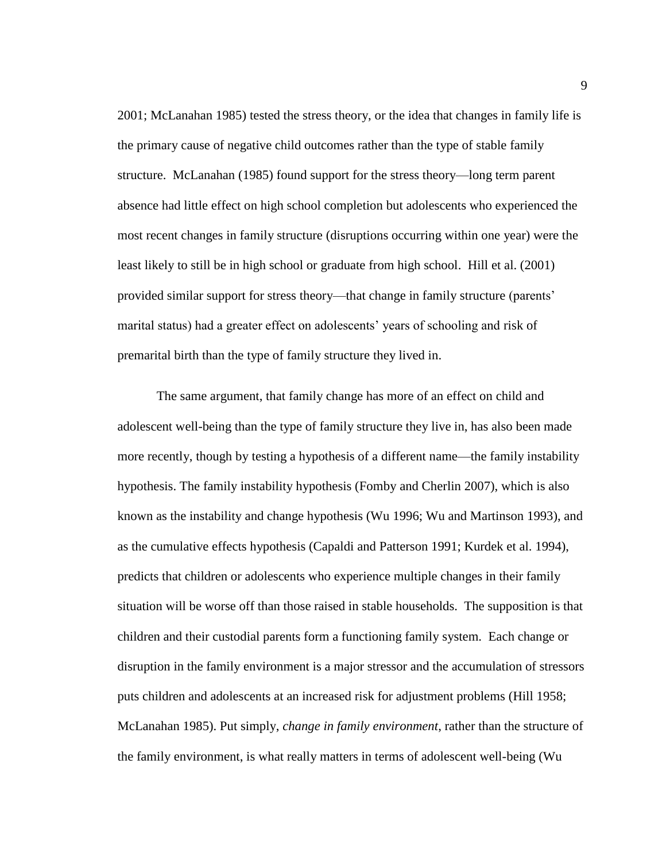2001; McLanahan 1985) tested the stress theory, or the idea that changes in family life is the primary cause of negative child outcomes rather than the type of stable family structure. McLanahan (1985) found support for the stress theory—long term parent absence had little effect on high school completion but adolescents who experienced the most recent changes in family structure (disruptions occurring within one year) were the least likely to still be in high school or graduate from high school. Hill et al. (2001) provided similar support for stress theory—that change in family structure (parents' marital status) had a greater effect on adolescents' years of schooling and risk of premarital birth than the type of family structure they lived in.

The same argument, that family change has more of an effect on child and adolescent well-being than the type of family structure they live in, has also been made more recently, though by testing a hypothesis of a different name—the family instability hypothesis. The family instability hypothesis (Fomby and Cherlin 2007), which is also known as the instability and change hypothesis (Wu 1996; Wu and Martinson 1993), and as the cumulative effects hypothesis (Capaldi and Patterson 1991; Kurdek et al. 1994), predicts that children or adolescents who experience multiple changes in their family situation will be worse off than those raised in stable households. The supposition is that children and their custodial parents form a functioning family system. Each change or disruption in the family environment is a major stressor and the accumulation of stressors puts children and adolescents at an increased risk for adjustment problems (Hill 1958; McLanahan 1985). Put simply, *change in family environment*, rather than the structure of the family environment, is what really matters in terms of adolescent well-being (Wu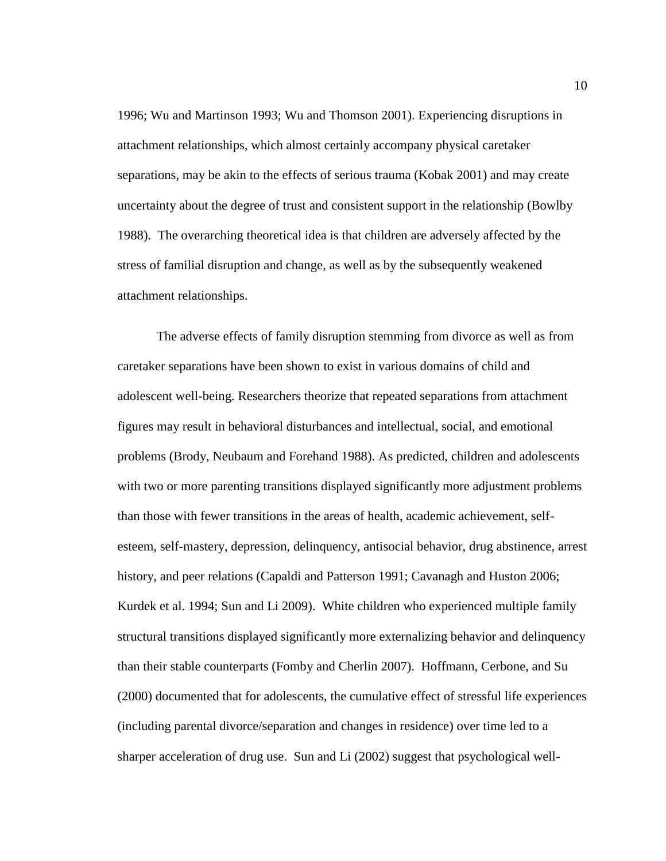1996; Wu and Martinson 1993; Wu and Thomson 2001). Experiencing disruptions in attachment relationships, which almost certainly accompany physical caretaker separations, may be akin to the effects of serious trauma (Kobak 2001) and may create uncertainty about the degree of trust and consistent support in the relationship (Bowlby 1988). The overarching theoretical idea is that children are adversely affected by the stress of familial disruption and change, as well as by the subsequently weakened attachment relationships.

The adverse effects of family disruption stemming from divorce as well as from caretaker separations have been shown to exist in various domains of child and adolescent well-being. Researchers theorize that repeated separations from attachment figures may result in behavioral disturbances and intellectual, social, and emotional problems (Brody, Neubaum and Forehand 1988). As predicted, children and adolescents with two or more parenting transitions displayed significantly more adjustment problems than those with fewer transitions in the areas of health, academic achievement, selfesteem, self-mastery, depression, delinquency, antisocial behavior, drug abstinence, arrest history, and peer relations (Capaldi and Patterson 1991; Cavanagh and Huston 2006; Kurdek et al. 1994; Sun and Li 2009). White children who experienced multiple family structural transitions displayed significantly more externalizing behavior and delinquency than their stable counterparts (Fomby and Cherlin 2007). Hoffmann, Cerbone, and Su (2000) documented that for adolescents, the cumulative effect of stressful life experiences (including parental divorce/separation and changes in residence) over time led to a sharper acceleration of drug use. Sun and Li (2002) suggest that psychological well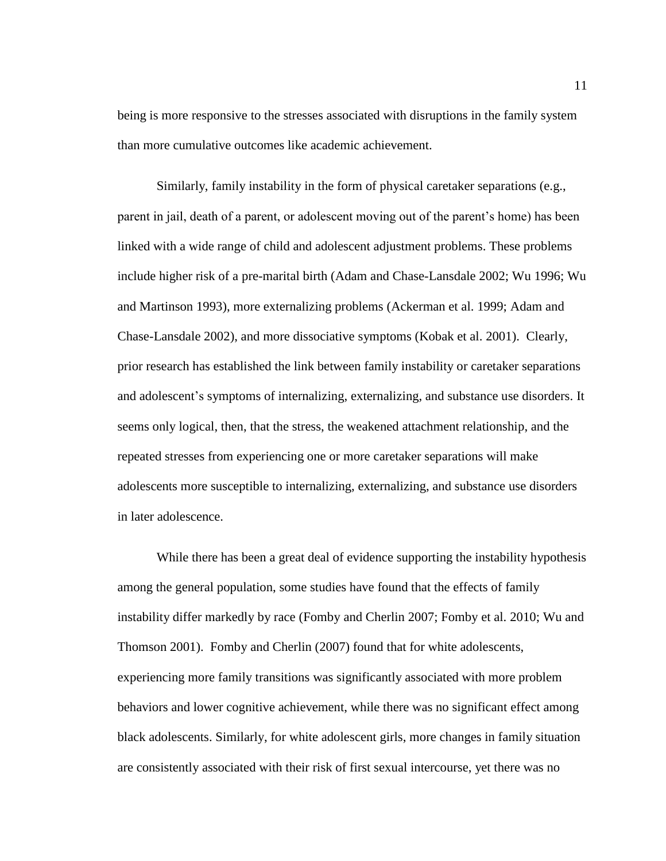being is more responsive to the stresses associated with disruptions in the family system than more cumulative outcomes like academic achievement.

Similarly, family instability in the form of physical caretaker separations (e.g., parent in jail, death of a parent, or adolescent moving out of the parent's home) has been linked with a wide range of child and adolescent adjustment problems. These problems include higher risk of a pre-marital birth (Adam and Chase-Lansdale 2002; Wu 1996; Wu and Martinson 1993), more externalizing problems (Ackerman et al. 1999; Adam and Chase-Lansdale 2002), and more dissociative symptoms (Kobak et al. 2001). Clearly, prior research has established the link between family instability or caretaker separations and adolescent's symptoms of internalizing, externalizing, and substance use disorders. It seems only logical, then, that the stress, the weakened attachment relationship, and the repeated stresses from experiencing one or more caretaker separations will make adolescents more susceptible to internalizing, externalizing, and substance use disorders in later adolescence.

While there has been a great deal of evidence supporting the instability hypothesis among the general population, some studies have found that the effects of family instability differ markedly by race (Fomby and Cherlin 2007; Fomby et al. 2010; Wu and Thomson 2001). Fomby and Cherlin (2007) found that for white adolescents, experiencing more family transitions was significantly associated with more problem behaviors and lower cognitive achievement, while there was no significant effect among black adolescents. Similarly, for white adolescent girls, more changes in family situation are consistently associated with their risk of first sexual intercourse, yet there was no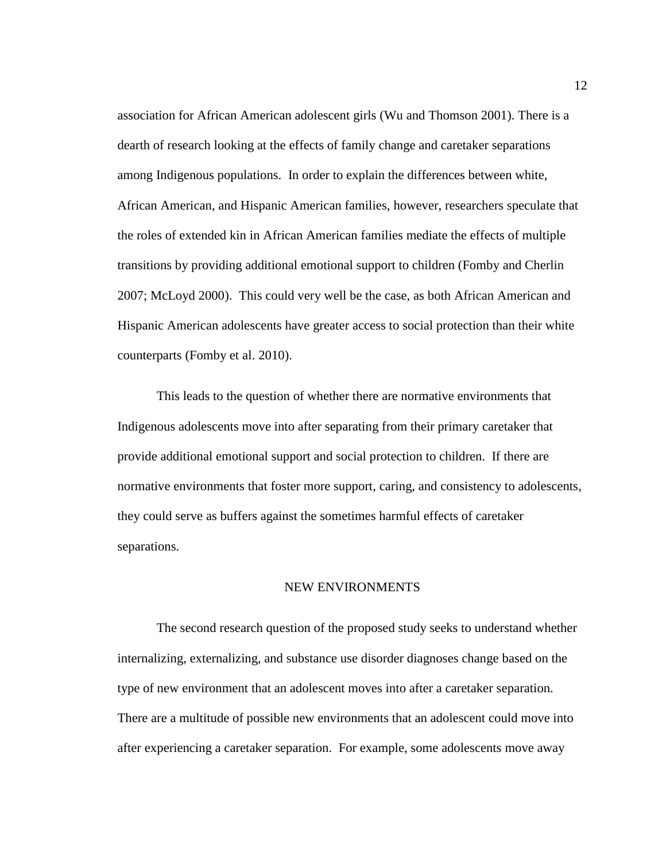association for African American adolescent girls (Wu and Thomson 2001). There is a dearth of research looking at the effects of family change and caretaker separations among Indigenous populations. In order to explain the differences between white, African American, and Hispanic American families, however, researchers speculate that the roles of extended kin in African American families mediate the effects of multiple transitions by providing additional emotional support to children (Fomby and Cherlin 2007; McLoyd 2000). This could very well be the case, as both African American and Hispanic American adolescents have greater access to social protection than their white counterparts (Fomby et al. 2010).

This leads to the question of whether there are normative environments that Indigenous adolescents move into after separating from their primary caretaker that provide additional emotional support and social protection to children. If there are normative environments that foster more support, caring, and consistency to adolescents, they could serve as buffers against the sometimes harmful effects of caretaker separations.

### NEW ENVIRONMENTS

The second research question of the proposed study seeks to understand whether internalizing, externalizing, and substance use disorder diagnoses change based on the type of new environment that an adolescent moves into after a caretaker separation. There are a multitude of possible new environments that an adolescent could move into after experiencing a caretaker separation. For example, some adolescents move away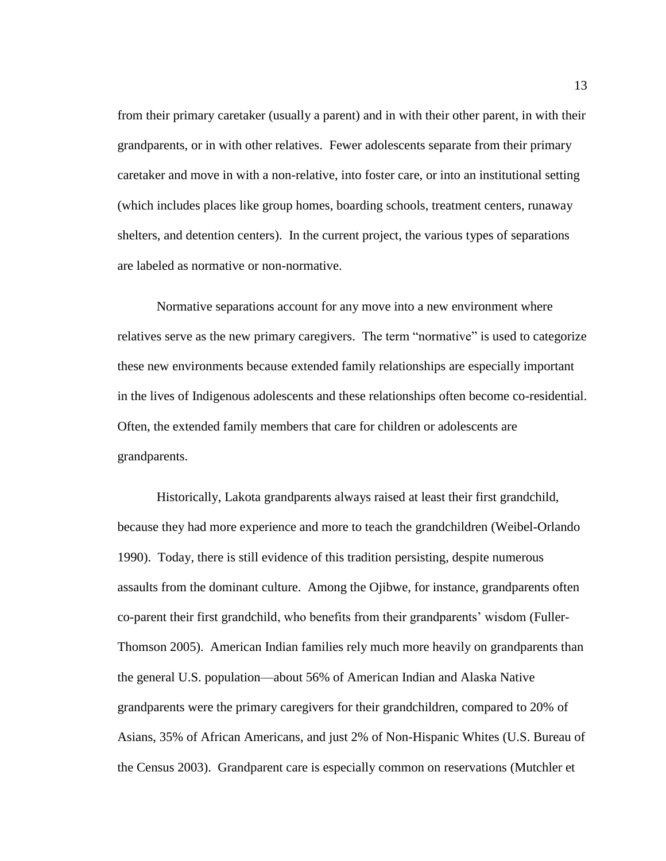from their primary caretaker (usually a parent) and in with their other parent, in with their grandparents, or in with other relatives. Fewer adolescents separate from their primary caretaker and move in with a non-relative, into foster care, or into an institutional setting (which includes places like group homes, boarding schools, treatment centers, runaway shelters, and detention centers). In the current project, the various types of separations are labeled as normative or non-normative.

Normative separations account for any move into a new environment where relatives serve as the new primary caregivers. The term "normative" is used to categorize these new environments because extended family relationships are especially important in the lives of Indigenous adolescents and these relationships often become co-residential. Often, the extended family members that care for children or adolescents are grandparents.

Historically, Lakota grandparents always raised at least their first grandchild, because they had more experience and more to teach the grandchildren (Weibel-Orlando 1990). Today, there is still evidence of this tradition persisting, despite numerous assaults from the dominant culture. Among the Ojibwe, for instance, grandparents often co-parent their first grandchild, who benefits from their grandparents' wisdom (Fuller-Thomson 2005). American Indian families rely much more heavily on grandparents than the general U.S. population—about 56% of American Indian and Alaska Native grandparents were the primary caregivers for their grandchildren, compared to 20% of Asians, 35% of African Americans, and just 2% of Non-Hispanic Whites (U.S. Bureau of the Census 2003). Grandparent care is especially common on reservations (Mutchler et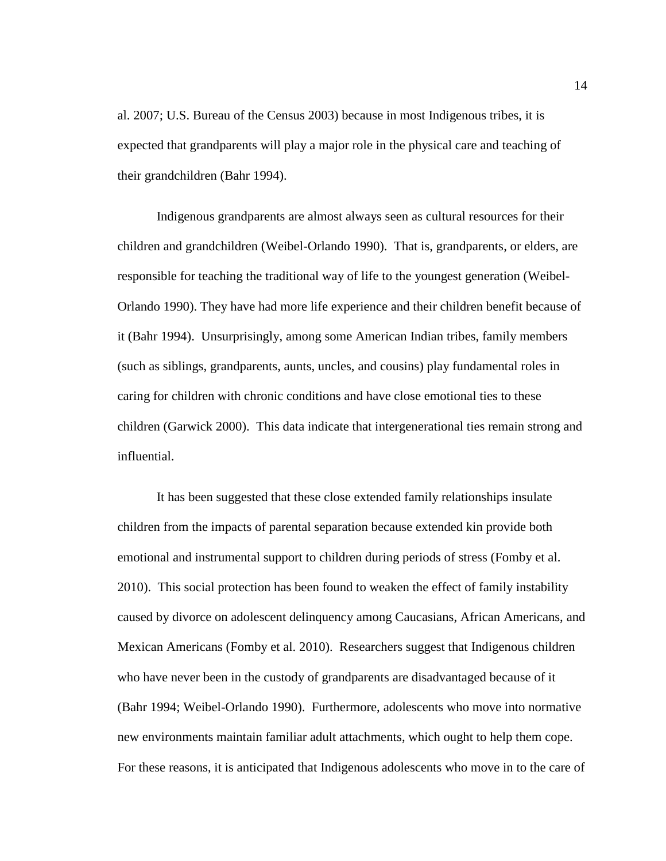al. 2007; U.S. Bureau of the Census 2003) because in most Indigenous tribes, it is expected that grandparents will play a major role in the physical care and teaching of their grandchildren (Bahr 1994).

Indigenous grandparents are almost always seen as cultural resources for their children and grandchildren (Weibel-Orlando 1990). That is, grandparents, or elders, are responsible for teaching the traditional way of life to the youngest generation (Weibel-Orlando 1990). They have had more life experience and their children benefit because of it (Bahr 1994). Unsurprisingly, among some American Indian tribes, family members (such as siblings, grandparents, aunts, uncles, and cousins) play fundamental roles in caring for children with chronic conditions and have close emotional ties to these children (Garwick 2000). This data indicate that intergenerational ties remain strong and influential.

It has been suggested that these close extended family relationships insulate children from the impacts of parental separation because extended kin provide both emotional and instrumental support to children during periods of stress (Fomby et al. 2010). This social protection has been found to weaken the effect of family instability caused by divorce on adolescent delinquency among Caucasians, African Americans, and Mexican Americans (Fomby et al. 2010). Researchers suggest that Indigenous children who have never been in the custody of grandparents are disadvantaged because of it (Bahr 1994; Weibel-Orlando 1990). Furthermore, adolescents who move into normative new environments maintain familiar adult attachments, which ought to help them cope. For these reasons, it is anticipated that Indigenous adolescents who move in to the care of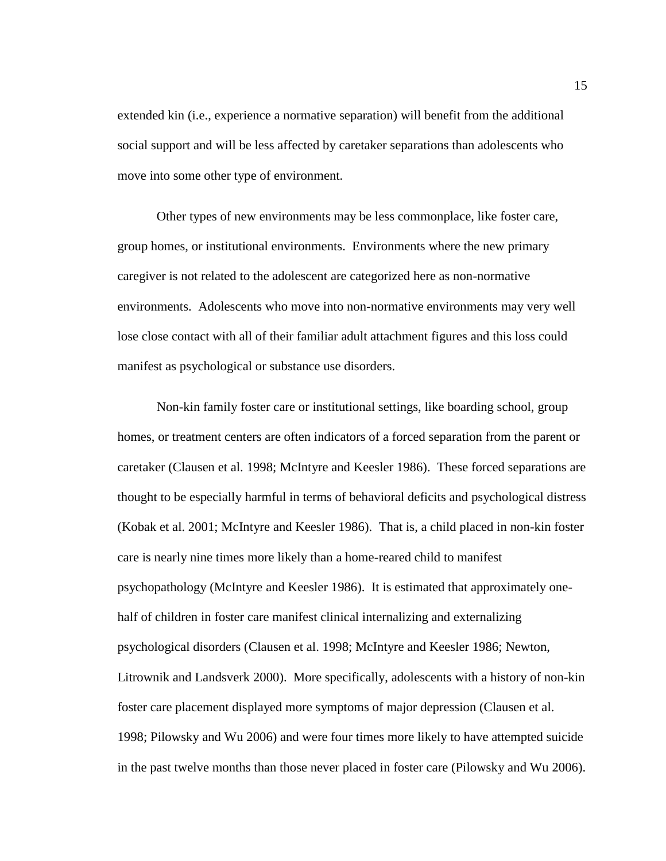extended kin (i.e., experience a normative separation) will benefit from the additional social support and will be less affected by caretaker separations than adolescents who move into some other type of environment.

Other types of new environments may be less commonplace, like foster care, group homes, or institutional environments. Environments where the new primary caregiver is not related to the adolescent are categorized here as non-normative environments. Adolescents who move into non-normative environments may very well lose close contact with all of their familiar adult attachment figures and this loss could manifest as psychological or substance use disorders.

Non-kin family foster care or institutional settings, like boarding school, group homes, or treatment centers are often indicators of a forced separation from the parent or caretaker (Clausen et al. 1998; McIntyre and Keesler 1986). These forced separations are thought to be especially harmful in terms of behavioral deficits and psychological distress (Kobak et al. 2001; McIntyre and Keesler 1986). That is, a child placed in non-kin foster care is nearly nine times more likely than a home-reared child to manifest psychopathology (McIntyre and Keesler 1986). It is estimated that approximately onehalf of children in foster care manifest clinical internalizing and externalizing psychological disorders (Clausen et al. 1998; McIntyre and Keesler 1986; Newton, Litrownik and Landsverk 2000). More specifically, adolescents with a history of non-kin foster care placement displayed more symptoms of major depression (Clausen et al. 1998; Pilowsky and Wu 2006) and were four times more likely to have attempted suicide in the past twelve months than those never placed in foster care (Pilowsky and Wu 2006).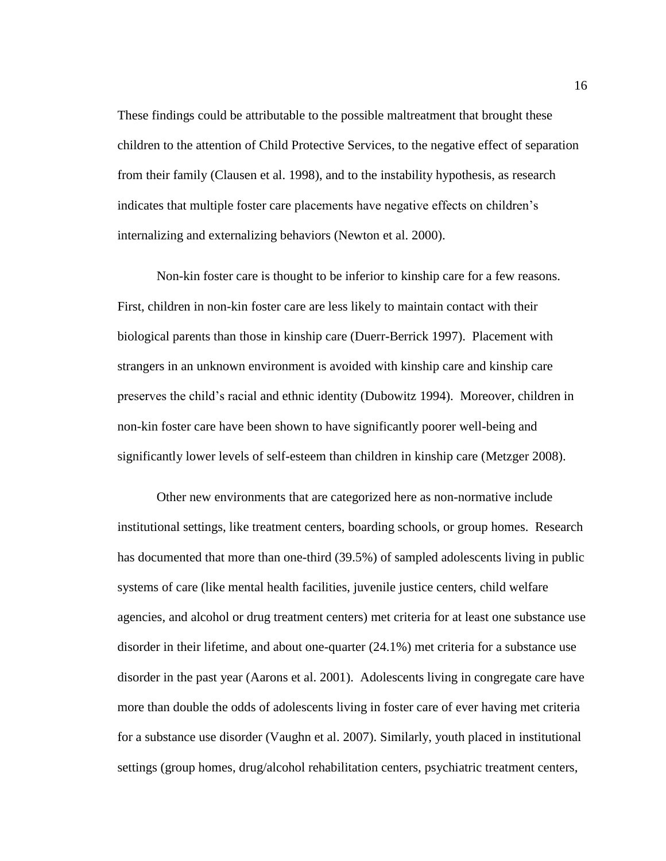These findings could be attributable to the possible maltreatment that brought these children to the attention of Child Protective Services, to the negative effect of separation from their family (Clausen et al. 1998), and to the instability hypothesis, as research indicates that multiple foster care placements have negative effects on children's internalizing and externalizing behaviors (Newton et al. 2000).

Non-kin foster care is thought to be inferior to kinship care for a few reasons. First, children in non-kin foster care are less likely to maintain contact with their biological parents than those in kinship care (Duerr-Berrick 1997). Placement with strangers in an unknown environment is avoided with kinship care and kinship care preserves the child's racial and ethnic identity (Dubowitz 1994). Moreover, children in non-kin foster care have been shown to have significantly poorer well-being and significantly lower levels of self-esteem than children in kinship care (Metzger 2008).

Other new environments that are categorized here as non-normative include institutional settings, like treatment centers, boarding schools, or group homes. Research has documented that more than one-third (39.5%) of sampled adolescents living in public systems of care (like mental health facilities, juvenile justice centers, child welfare agencies, and alcohol or drug treatment centers) met criteria for at least one substance use disorder in their lifetime, and about one-quarter (24.1%) met criteria for a substance use disorder in the past year (Aarons et al. 2001). Adolescents living in congregate care have more than double the odds of adolescents living in foster care of ever having met criteria for a substance use disorder (Vaughn et al. 2007). Similarly, youth placed in institutional settings (group homes, drug/alcohol rehabilitation centers, psychiatric treatment centers,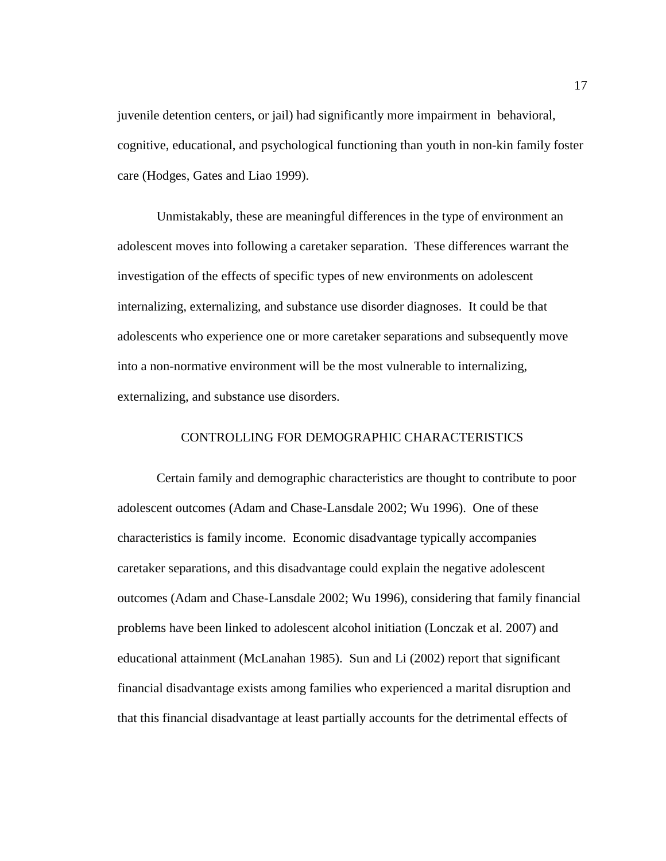juvenile detention centers, or jail) had significantly more impairment in behavioral, cognitive, educational, and psychological functioning than youth in non-kin family foster care (Hodges, Gates and Liao 1999).

Unmistakably, these are meaningful differences in the type of environment an adolescent moves into following a caretaker separation. These differences warrant the investigation of the effects of specific types of new environments on adolescent internalizing, externalizing, and substance use disorder diagnoses. It could be that adolescents who experience one or more caretaker separations and subsequently move into a non-normative environment will be the most vulnerable to internalizing, externalizing, and substance use disorders.

# CONTROLLING FOR DEMOGRAPHIC CHARACTERISTICS

Certain family and demographic characteristics are thought to contribute to poor adolescent outcomes (Adam and Chase-Lansdale 2002; Wu 1996). One of these characteristics is family income. Economic disadvantage typically accompanies caretaker separations, and this disadvantage could explain the negative adolescent outcomes (Adam and Chase-Lansdale 2002; Wu 1996), considering that family financial problems have been linked to adolescent alcohol initiation (Lonczak et al. 2007) and educational attainment (McLanahan 1985). Sun and Li (2002) report that significant financial disadvantage exists among families who experienced a marital disruption and that this financial disadvantage at least partially accounts for the detrimental effects of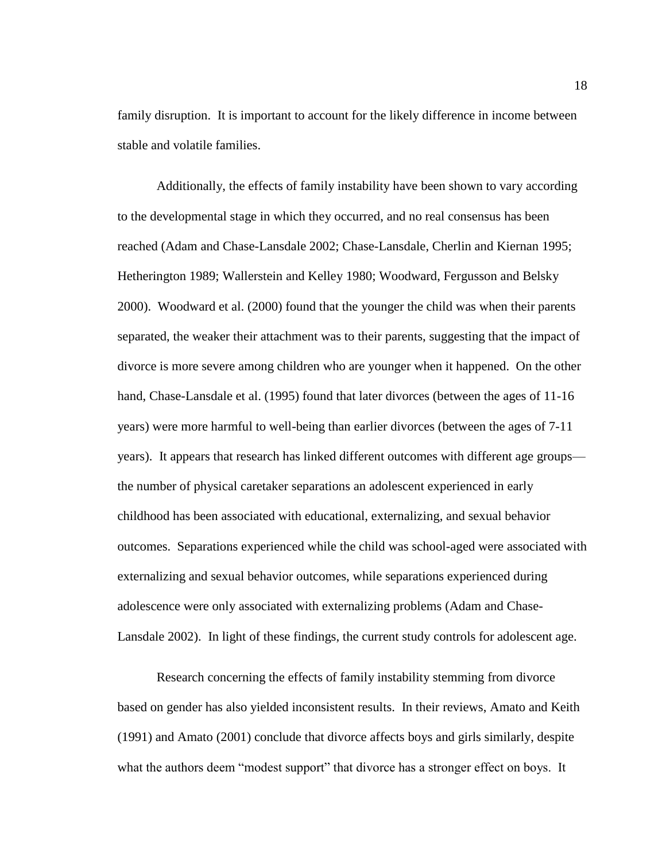family disruption. It is important to account for the likely difference in income between stable and volatile families.

Additionally, the effects of family instability have been shown to vary according to the developmental stage in which they occurred, and no real consensus has been reached (Adam and Chase-Lansdale 2002; Chase-Lansdale, Cherlin and Kiernan 1995; Hetherington 1989; Wallerstein and Kelley 1980; Woodward, Fergusson and Belsky 2000). Woodward et al. (2000) found that the younger the child was when their parents separated, the weaker their attachment was to their parents, suggesting that the impact of divorce is more severe among children who are younger when it happened. On the other hand, Chase-Lansdale et al. (1995) found that later divorces (between the ages of 11-16 years) were more harmful to well-being than earlier divorces (between the ages of 7-11 years). It appears that research has linked different outcomes with different age groups the number of physical caretaker separations an adolescent experienced in early childhood has been associated with educational, externalizing, and sexual behavior outcomes. Separations experienced while the child was school-aged were associated with externalizing and sexual behavior outcomes, while separations experienced during adolescence were only associated with externalizing problems (Adam and Chase-Lansdale 2002). In light of these findings, the current study controls for adolescent age.

Research concerning the effects of family instability stemming from divorce based on gender has also yielded inconsistent results. In their reviews, Amato and Keith (1991) and Amato (2001) conclude that divorce affects boys and girls similarly, despite what the authors deem "modest support" that divorce has a stronger effect on boys. It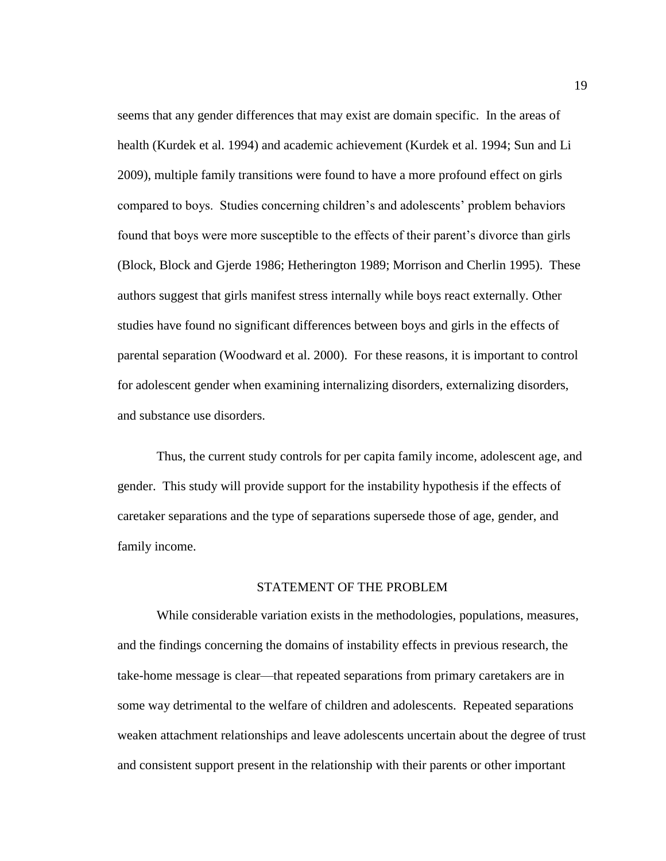seems that any gender differences that may exist are domain specific. In the areas of health (Kurdek et al. 1994) and academic achievement (Kurdek et al. 1994; Sun and Li 2009), multiple family transitions were found to have a more profound effect on girls compared to boys. Studies concerning children's and adolescents' problem behaviors found that boys were more susceptible to the effects of their parent's divorce than girls (Block, Block and Gjerde 1986; Hetherington 1989; Morrison and Cherlin 1995). These authors suggest that girls manifest stress internally while boys react externally. Other studies have found no significant differences between boys and girls in the effects of parental separation (Woodward et al. 2000). For these reasons, it is important to control for adolescent gender when examining internalizing disorders, externalizing disorders, and substance use disorders.

Thus, the current study controls for per capita family income, adolescent age, and gender. This study will provide support for the instability hypothesis if the effects of caretaker separations and the type of separations supersede those of age, gender, and family income.

### STATEMENT OF THE PROBLEM

While considerable variation exists in the methodologies, populations, measures, and the findings concerning the domains of instability effects in previous research, the take-home message is clear—that repeated separations from primary caretakers are in some way detrimental to the welfare of children and adolescents. Repeated separations weaken attachment relationships and leave adolescents uncertain about the degree of trust and consistent support present in the relationship with their parents or other important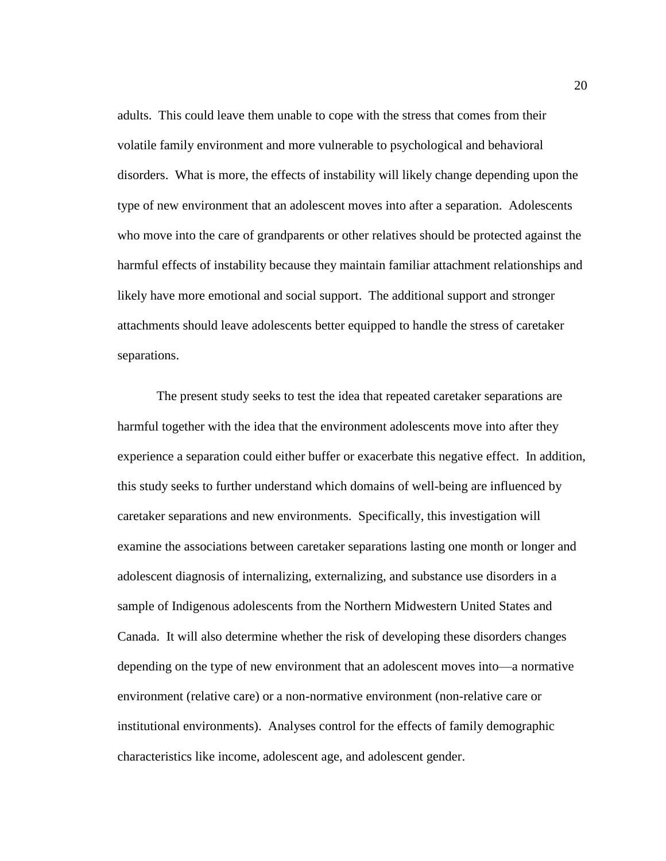adults. This could leave them unable to cope with the stress that comes from their volatile family environment and more vulnerable to psychological and behavioral disorders. What is more, the effects of instability will likely change depending upon the type of new environment that an adolescent moves into after a separation. Adolescents who move into the care of grandparents or other relatives should be protected against the harmful effects of instability because they maintain familiar attachment relationships and likely have more emotional and social support. The additional support and stronger attachments should leave adolescents better equipped to handle the stress of caretaker separations.

The present study seeks to test the idea that repeated caretaker separations are harmful together with the idea that the environment adolescents move into after they experience a separation could either buffer or exacerbate this negative effect. In addition, this study seeks to further understand which domains of well-being are influenced by caretaker separations and new environments. Specifically, this investigation will examine the associations between caretaker separations lasting one month or longer and adolescent diagnosis of internalizing, externalizing, and substance use disorders in a sample of Indigenous adolescents from the Northern Midwestern United States and Canada. It will also determine whether the risk of developing these disorders changes depending on the type of new environment that an adolescent moves into—a normative environment (relative care) or a non-normative environment (non-relative care or institutional environments). Analyses control for the effects of family demographic characteristics like income, adolescent age, and adolescent gender.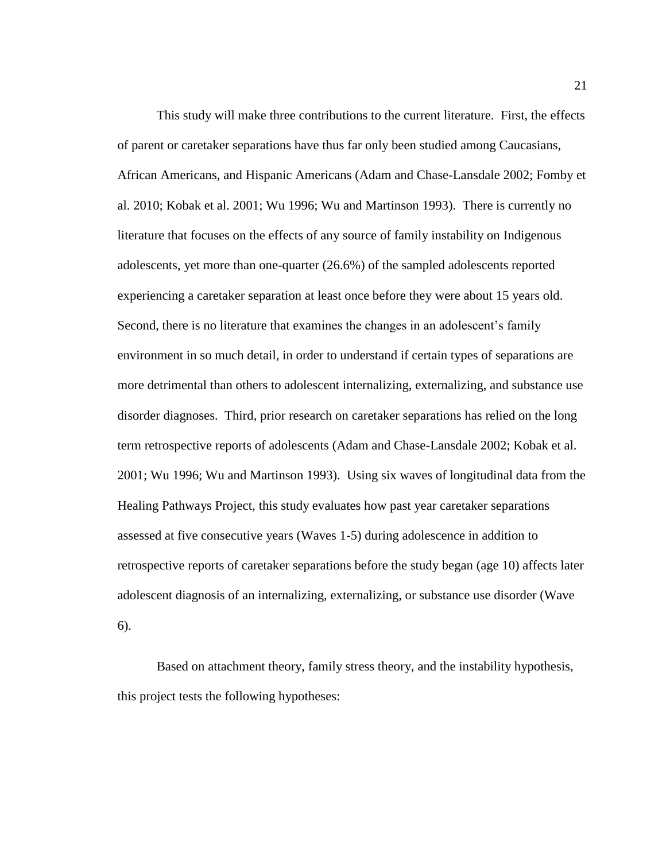This study will make three contributions to the current literature. First, the effects of parent or caretaker separations have thus far only been studied among Caucasians, African Americans, and Hispanic Americans (Adam and Chase-Lansdale 2002; Fomby et al. 2010; Kobak et al. 2001; Wu 1996; Wu and Martinson 1993). There is currently no literature that focuses on the effects of any source of family instability on Indigenous adolescents, yet more than one-quarter (26.6%) of the sampled adolescents reported experiencing a caretaker separation at least once before they were about 15 years old. Second, there is no literature that examines the changes in an adolescent's family environment in so much detail, in order to understand if certain types of separations are more detrimental than others to adolescent internalizing, externalizing, and substance use disorder diagnoses. Third, prior research on caretaker separations has relied on the long term retrospective reports of adolescents (Adam and Chase-Lansdale 2002; Kobak et al. 2001; Wu 1996; Wu and Martinson 1993). Using six waves of longitudinal data from the Healing Pathways Project, this study evaluates how past year caretaker separations assessed at five consecutive years (Waves 1-5) during adolescence in addition to retrospective reports of caretaker separations before the study began (age 10) affects later adolescent diagnosis of an internalizing, externalizing, or substance use disorder (Wave 6).

Based on attachment theory, family stress theory, and the instability hypothesis, this project tests the following hypotheses: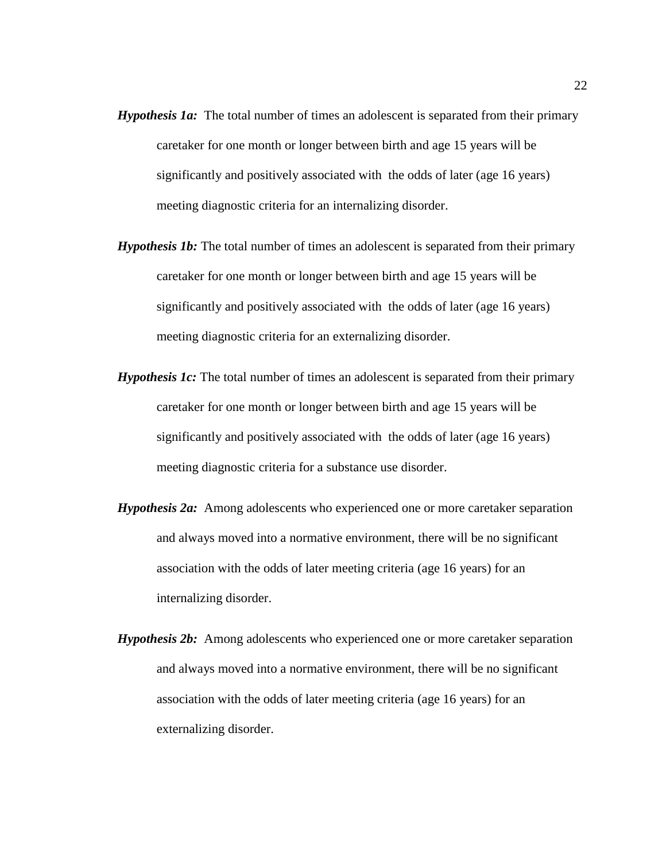- *Hypothesis 1a:* The total number of times an adolescent is separated from their primary caretaker for one month or longer between birth and age 15 years will be significantly and positively associated with the odds of later (age 16 years) meeting diagnostic criteria for an internalizing disorder.
- *Hypothesis 1b:* The total number of times an adolescent is separated from their primary caretaker for one month or longer between birth and age 15 years will be significantly and positively associated with the odds of later (age 16 years) meeting diagnostic criteria for an externalizing disorder.
- *Hypothesis 1c:* The total number of times an adolescent is separated from their primary caretaker for one month or longer between birth and age 15 years will be significantly and positively associated with the odds of later (age 16 years) meeting diagnostic criteria for a substance use disorder.
- *Hypothesis 2a:* Among adolescents who experienced one or more caretaker separation and always moved into a normative environment, there will be no significant association with the odds of later meeting criteria (age 16 years) for an internalizing disorder.
- *Hypothesis 2b:* Among adolescents who experienced one or more caretaker separation and always moved into a normative environment, there will be no significant association with the odds of later meeting criteria (age 16 years) for an externalizing disorder.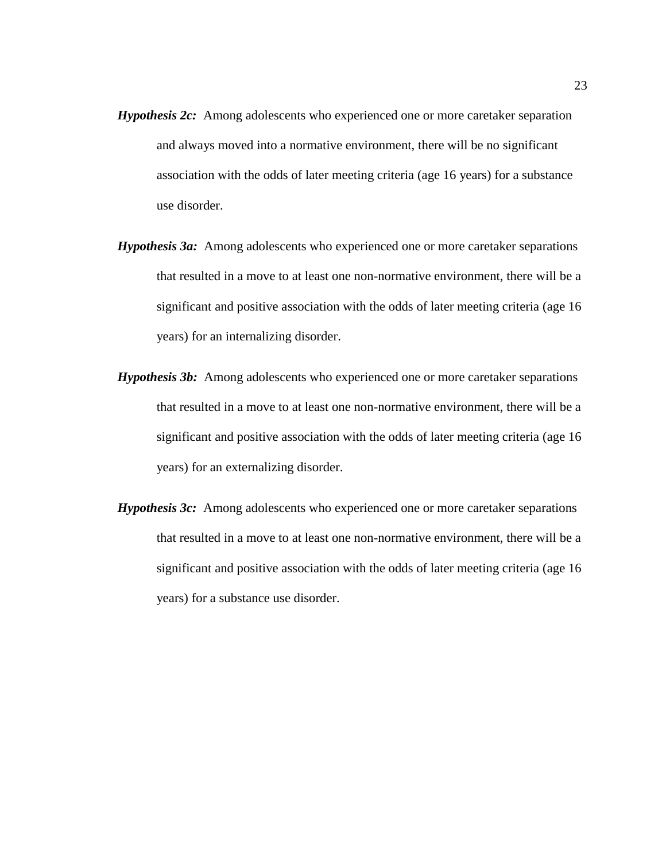- *Hypothesis 2c:* Among adolescents who experienced one or more caretaker separation and always moved into a normative environment, there will be no significant association with the odds of later meeting criteria (age 16 years) for a substance use disorder.
- *Hypothesis 3a:* Among adolescents who experienced one or more caretaker separations that resulted in a move to at least one non-normative environment, there will be a significant and positive association with the odds of later meeting criteria (age 16 years) for an internalizing disorder.
- *Hypothesis 3b:* Among adolescents who experienced one or more caretaker separations that resulted in a move to at least one non-normative environment, there will be a significant and positive association with the odds of later meeting criteria (age 16 years) for an externalizing disorder.
- *Hypothesis 3c:* Among adolescents who experienced one or more caretaker separations that resulted in a move to at least one non-normative environment, there will be a significant and positive association with the odds of later meeting criteria (age 16 years) for a substance use disorder.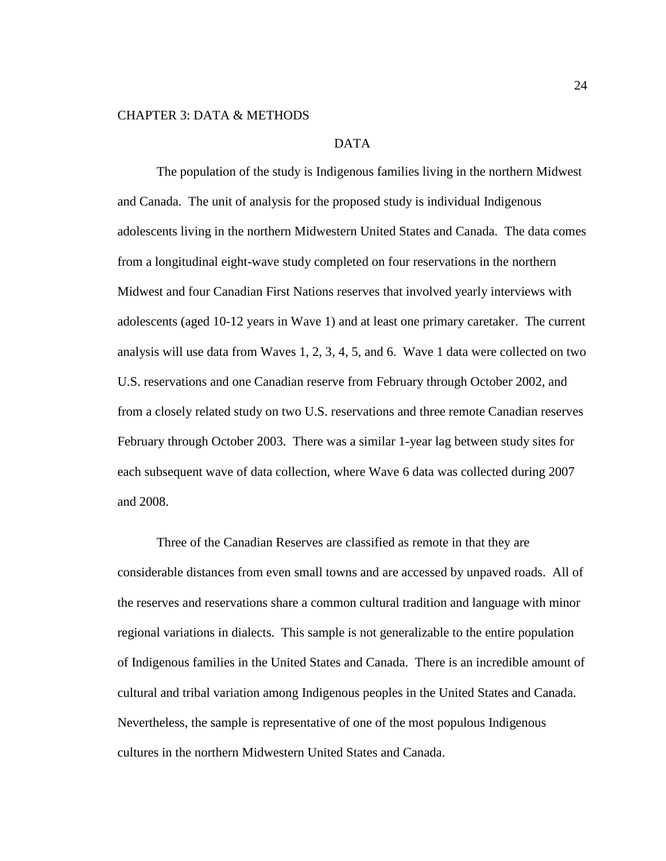#### CHAPTER 3: DATA & METHODS

## DATA

The population of the study is Indigenous families living in the northern Midwest and Canada. The unit of analysis for the proposed study is individual Indigenous adolescents living in the northern Midwestern United States and Canada. The data comes from a longitudinal eight-wave study completed on four reservations in the northern Midwest and four Canadian First Nations reserves that involved yearly interviews with adolescents (aged 10-12 years in Wave 1) and at least one primary caretaker. The current analysis will use data from Waves 1, 2, 3, 4, 5, and 6. Wave 1 data were collected on two U.S. reservations and one Canadian reserve from February through October 2002, and from a closely related study on two U.S. reservations and three remote Canadian reserves February through October 2003. There was a similar 1-year lag between study sites for each subsequent wave of data collection, where Wave 6 data was collected during 2007 and 2008.

Three of the Canadian Reserves are classified as remote in that they are considerable distances from even small towns and are accessed by unpaved roads. All of the reserves and reservations share a common cultural tradition and language with minor regional variations in dialects. This sample is not generalizable to the entire population of Indigenous families in the United States and Canada. There is an incredible amount of cultural and tribal variation among Indigenous peoples in the United States and Canada. Nevertheless, the sample is representative of one of the most populous Indigenous cultures in the northern Midwestern United States and Canada.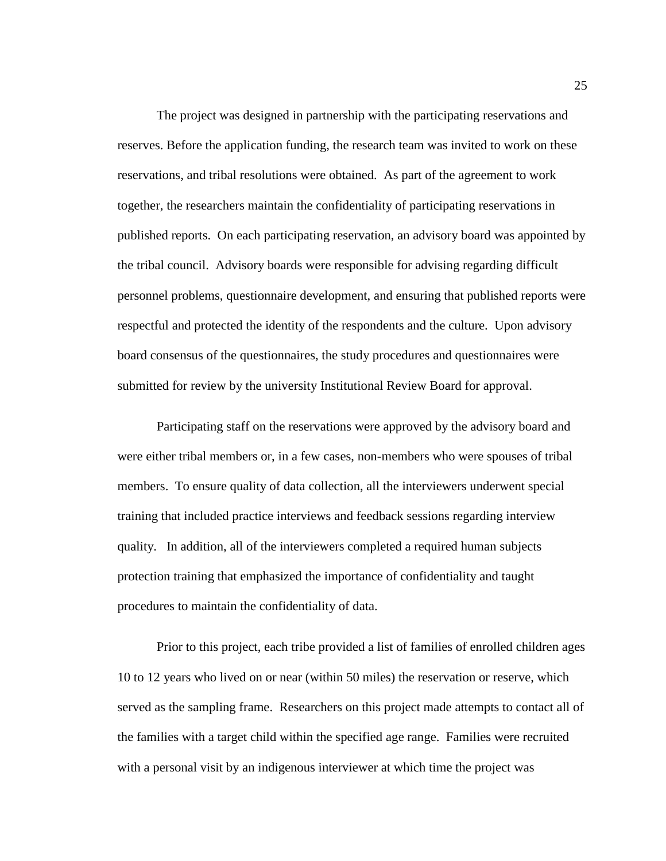The project was designed in partnership with the participating reservations and reserves. Before the application funding, the research team was invited to work on these reservations, and tribal resolutions were obtained. As part of the agreement to work together, the researchers maintain the confidentiality of participating reservations in published reports. On each participating reservation, an advisory board was appointed by the tribal council. Advisory boards were responsible for advising regarding difficult personnel problems, questionnaire development, and ensuring that published reports were respectful and protected the identity of the respondents and the culture. Upon advisory board consensus of the questionnaires, the study procedures and questionnaires were submitted for review by the university Institutional Review Board for approval.

Participating staff on the reservations were approved by the advisory board and were either tribal members or, in a few cases, non-members who were spouses of tribal members. To ensure quality of data collection, all the interviewers underwent special training that included practice interviews and feedback sessions regarding interview quality. In addition, all of the interviewers completed a required human subjects protection training that emphasized the importance of confidentiality and taught procedures to maintain the confidentiality of data.

Prior to this project, each tribe provided a list of families of enrolled children ages 10 to 12 years who lived on or near (within 50 miles) the reservation or reserve, which served as the sampling frame. Researchers on this project made attempts to contact all of the families with a target child within the specified age range. Families were recruited with a personal visit by an indigenous interviewer at which time the project was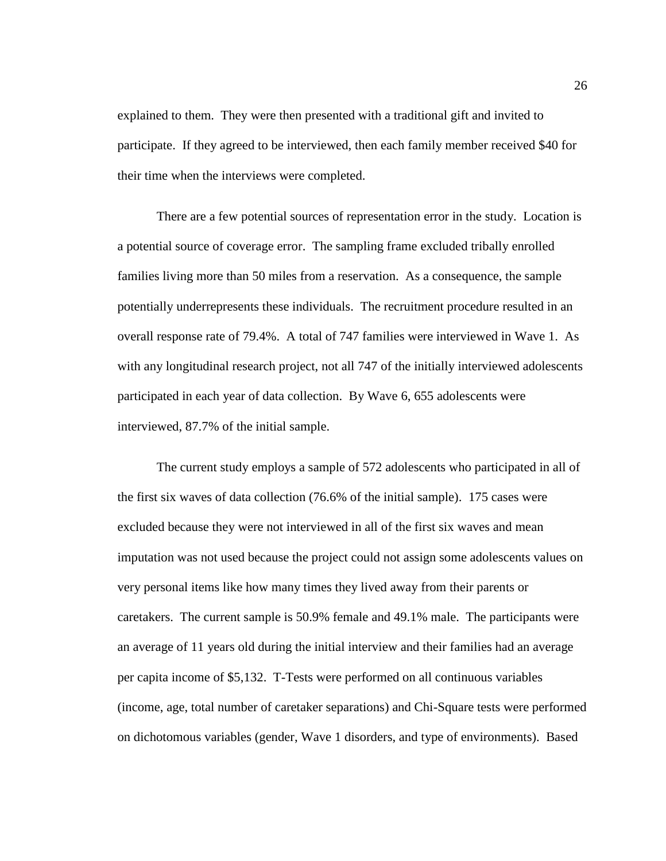explained to them. They were then presented with a traditional gift and invited to participate. If they agreed to be interviewed, then each family member received \$40 for their time when the interviews were completed.

There are a few potential sources of representation error in the study. Location is a potential source of coverage error. The sampling frame excluded tribally enrolled families living more than 50 miles from a reservation. As a consequence, the sample potentially underrepresents these individuals. The recruitment procedure resulted in an overall response rate of 79.4%. A total of 747 families were interviewed in Wave 1. As with any longitudinal research project, not all 747 of the initially interviewed adolescents participated in each year of data collection. By Wave 6, 655 adolescents were interviewed, 87.7% of the initial sample.

The current study employs a sample of 572 adolescents who participated in all of the first six waves of data collection (76.6% of the initial sample). 175 cases were excluded because they were not interviewed in all of the first six waves and mean imputation was not used because the project could not assign some adolescents values on very personal items like how many times they lived away from their parents or caretakers. The current sample is 50.9% female and 49.1% male. The participants were an average of 11 years old during the initial interview and their families had an average per capita income of \$5,132. T-Tests were performed on all continuous variables (income, age, total number of caretaker separations) and Chi-Square tests were performed on dichotomous variables (gender, Wave 1 disorders, and type of environments). Based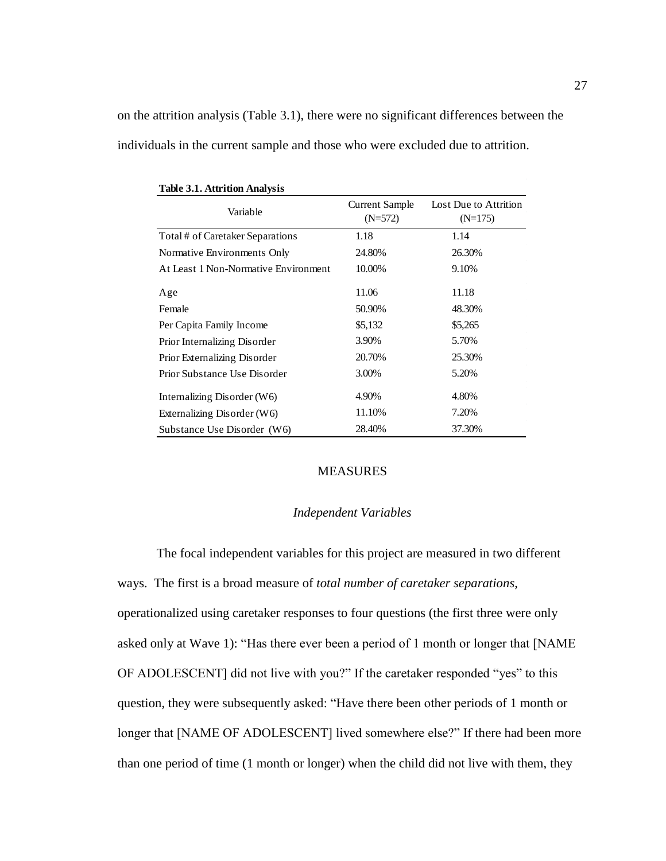on the attrition analysis (Table 3.1), there were no significant differences between the individuals in the current sample and those who were excluded due to attrition.

| Variable                             | Current Sample<br>$(N=572)$ | Lost Due to Attrition<br>$(N=175)$ |
|--------------------------------------|-----------------------------|------------------------------------|
| Total # of Caretaker Separations     | 1.18                        | 1.14                               |
| Normative Environments Only          | 24.80%                      | 26.30%                             |
| At Least 1 Non-Normative Environment | 10.00%                      | 9.10%                              |
| Age                                  | 11.06                       | 11.18                              |
| Female                               | 50.90%                      | 48.30%                             |
| Per Capita Family Income             | \$5,132                     | \$5,265                            |
| Prior Internalizing Disorder         | 3.90%                       | 5.70%                              |
| Prior Externalizing Disorder         | 20.70%                      | 25.30%                             |
| Prior Substance Use Disorder         | 3.00%                       | 5.20%                              |
| Internalizing Disorder $(W6)$        | 4.90%                       | 4.80%                              |
| Externalizing Disorder $(W6)$        | 11.10%                      | 7.20%                              |
| Substance Use Disorder (W6)          | 28.40%                      | 37.30%                             |

**Table 3.1. Attrition Analysis**

#### MEASURES

#### *Independent Variables*

The focal independent variables for this project are measured in two different ways. The first is a broad measure of *total number of caretaker separations*, operationalized using caretaker responses to four questions (the first three were only asked only at Wave 1): "Has there ever been a period of 1 month or longer that [NAME OF ADOLESCENT] did not live with you?" If the caretaker responded "yes" to this question, they were subsequently asked: "Have there been other periods of 1 month or longer that [NAME OF ADOLESCENT] lived somewhere else?" If there had been more than one period of time (1 month or longer) when the child did not live with them, they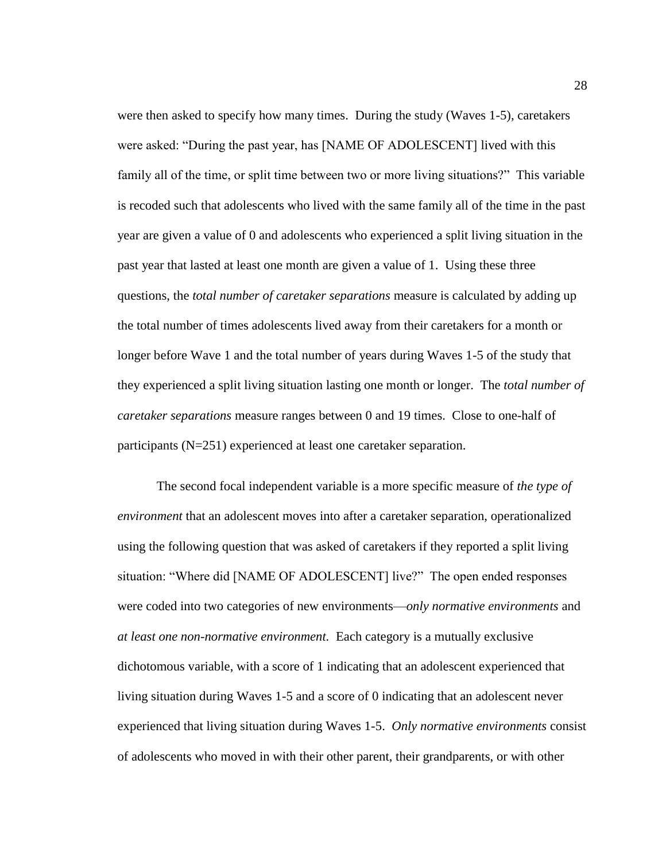were then asked to specify how many times. During the study (Waves 1-5), caretakers were asked: "During the past year, has [NAME OF ADOLESCENT] lived with this family all of the time, or split time between two or more living situations?" This variable is recoded such that adolescents who lived with the same family all of the time in the past year are given a value of 0 and adolescents who experienced a split living situation in the past year that lasted at least one month are given a value of 1. Using these three questions, the *total number of caretaker separations* measure is calculated by adding up the total number of times adolescents lived away from their caretakers for a month or longer before Wave 1 and the total number of years during Waves 1-5 of the study that they experienced a split living situation lasting one month or longer. The *total number of caretaker separations* measure ranges between 0 and 19 times. Close to one-half of participants (N=251) experienced at least one caretaker separation.

The second focal independent variable is a more specific measure of *the type of environment* that an adolescent moves into after a caretaker separation, operationalized using the following question that was asked of caretakers if they reported a split living situation: "Where did [NAME OF ADOLESCENT] live?" The open ended responses were coded into two categories of new environments—*only normative environments* and *at least one non-normative environment.* Each category is a mutually exclusive dichotomous variable, with a score of 1 indicating that an adolescent experienced that living situation during Waves 1-5 and a score of 0 indicating that an adolescent never experienced that living situation during Waves 1-5. *Only normative environments* consist of adolescents who moved in with their other parent, their grandparents, or with other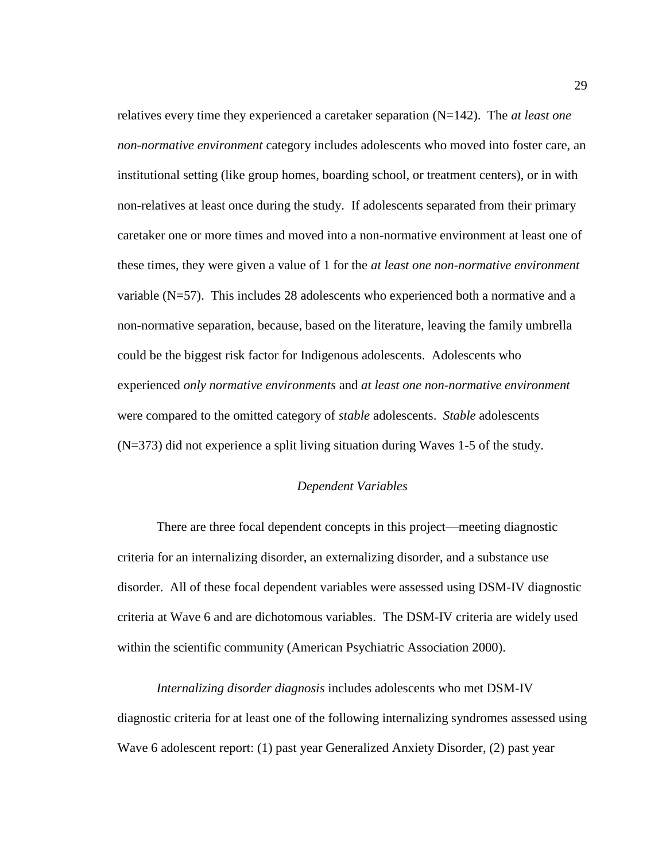relatives every time they experienced a caretaker separation (N=142). The *at least one non-normative environment* category includes adolescents who moved into foster care, an institutional setting (like group homes, boarding school, or treatment centers), or in with non-relatives at least once during the study. If adolescents separated from their primary caretaker one or more times and moved into a non-normative environment at least one of these times, they were given a value of 1 for the *at least one non-normative environment* variable (N=57). This includes 28 adolescents who experienced both a normative and a non-normative separation, because, based on the literature, leaving the family umbrella could be the biggest risk factor for Indigenous adolescents. Adolescents who experienced *only normative environments* and *at least one non-normative environment*  were compared to the omitted category of *stable* adolescents. *Stable* adolescents (N=373) did not experience a split living situation during Waves 1-5 of the study.

#### *Dependent Variables*

There are three focal dependent concepts in this project—meeting diagnostic criteria for an internalizing disorder, an externalizing disorder, and a substance use disorder. All of these focal dependent variables were assessed using DSM-IV diagnostic criteria at Wave 6 and are dichotomous variables. The DSM-IV criteria are widely used within the scientific community (American Psychiatric Association 2000).

*Internalizing disorder diagnosis* includes adolescents who met DSM-IV diagnostic criteria for at least one of the following internalizing syndromes assessed using Wave 6 adolescent report: (1) past year Generalized Anxiety Disorder, (2) past year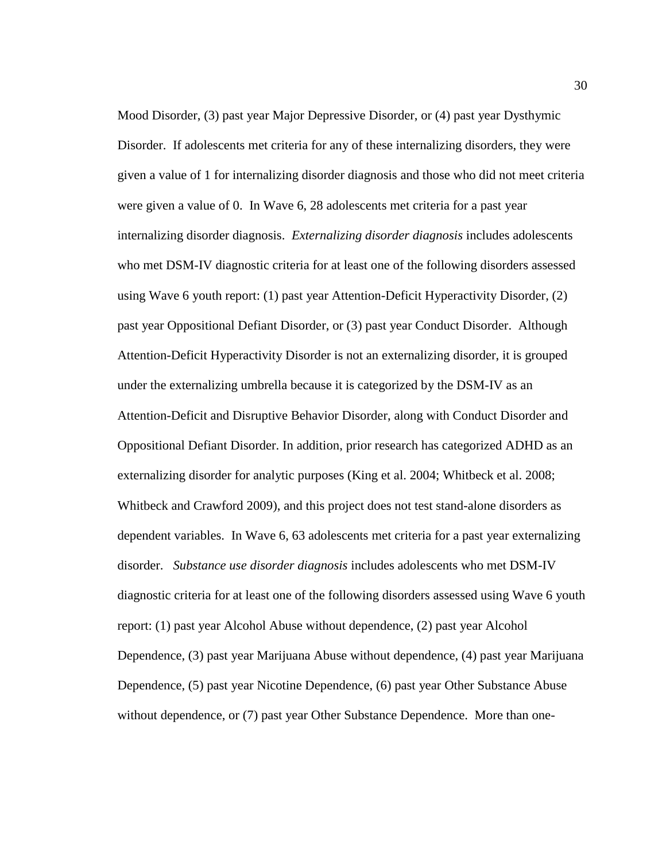Mood Disorder, (3) past year Major Depressive Disorder, or (4) past year Dysthymic Disorder. If adolescents met criteria for any of these internalizing disorders, they were given a value of 1 for internalizing disorder diagnosis and those who did not meet criteria were given a value of 0. In Wave 6, 28 adolescents met criteria for a past year internalizing disorder diagnosis. *Externalizing disorder diagnosis* includes adolescents who met DSM-IV diagnostic criteria for at least one of the following disorders assessed using Wave 6 youth report: (1) past year Attention-Deficit Hyperactivity Disorder, (2) past year Oppositional Defiant Disorder, or (3) past year Conduct Disorder. Although Attention-Deficit Hyperactivity Disorder is not an externalizing disorder, it is grouped under the externalizing umbrella because it is categorized by the DSM-IV as an Attention-Deficit and Disruptive Behavior Disorder, along with Conduct Disorder and Oppositional Defiant Disorder. In addition, prior research has categorized ADHD as an externalizing disorder for analytic purposes (King et al. 2004; Whitbeck et al. 2008; Whitbeck and Crawford 2009), and this project does not test stand-alone disorders as dependent variables. In Wave 6, 63 adolescents met criteria for a past year externalizing disorder. *Substance use disorder diagnosis* includes adolescents who met DSM-IV diagnostic criteria for at least one of the following disorders assessed using Wave 6 youth report: (1) past year Alcohol Abuse without dependence, (2) past year Alcohol Dependence, (3) past year Marijuana Abuse without dependence, (4) past year Marijuana Dependence, (5) past year Nicotine Dependence, (6) past year Other Substance Abuse without dependence, or (7) past year Other Substance Dependence. More than one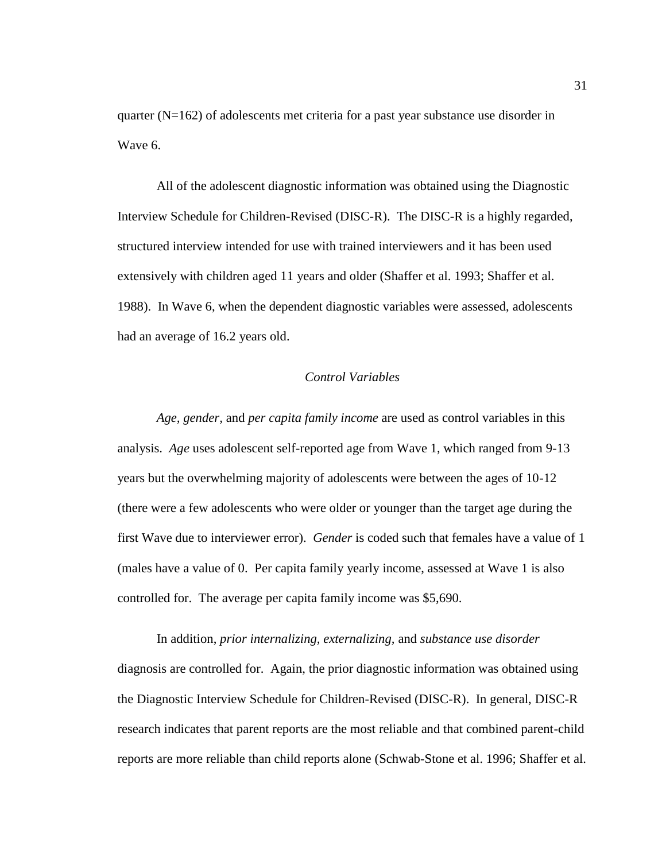quarter (N=162) of adolescents met criteria for a past year substance use disorder in Wave 6.

All of the adolescent diagnostic information was obtained using the Diagnostic Interview Schedule for Children-Revised (DISC-R). The DISC-R is a highly regarded, structured interview intended for use with trained interviewers and it has been used extensively with children aged 11 years and older (Shaffer et al. 1993; Shaffer et al. 1988). In Wave 6, when the dependent diagnostic variables were assessed, adolescents had an average of 16.2 years old.

# *Control Variables*

*Age, gender,* and *per capita family income* are used as control variables in this analysis. *Age* uses adolescent self-reported age from Wave 1, which ranged from 9-13 years but the overwhelming majority of adolescents were between the ages of 10-12 (there were a few adolescents who were older or younger than the target age during the first Wave due to interviewer error). *Gender* is coded such that females have a value of 1 (males have a value of 0. Per capita family yearly income, assessed at Wave 1 is also controlled for. The average per capita family income was \$5,690.

In addition, *prior internalizing, externalizing,* and *substance use disorder* diagnosis are controlled for. Again, the prior diagnostic information was obtained using the Diagnostic Interview Schedule for Children-Revised (DISC-R). In general, DISC-R research indicates that parent reports are the most reliable and that combined parent-child reports are more reliable than child reports alone (Schwab-Stone et al. 1996; Shaffer et al.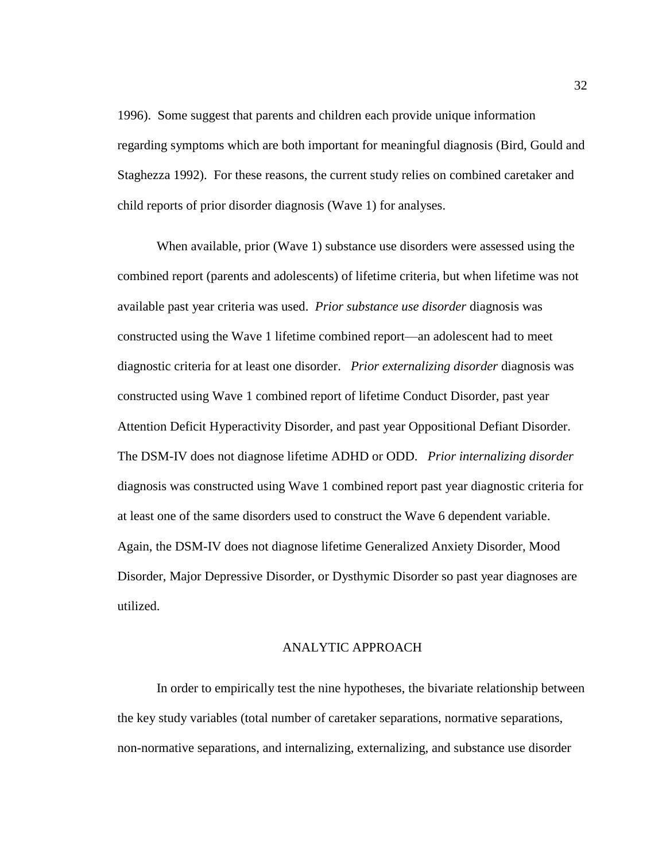1996). Some suggest that parents and children each provide unique information regarding symptoms which are both important for meaningful diagnosis (Bird, Gould and Staghezza 1992). For these reasons, the current study relies on combined caretaker and child reports of prior disorder diagnosis (Wave 1) for analyses.

When available, prior (Wave 1) substance use disorders were assessed using the combined report (parents and adolescents) of lifetime criteria, but when lifetime was not available past year criteria was used. *Prior substance use disorder* diagnosis was constructed using the Wave 1 lifetime combined report—an adolescent had to meet diagnostic criteria for at least one disorder. *Prior externalizing disorder* diagnosis was constructed using Wave 1 combined report of lifetime Conduct Disorder, past year Attention Deficit Hyperactivity Disorder, and past year Oppositional Defiant Disorder. The DSM-IV does not diagnose lifetime ADHD or ODD. *Prior internalizing disorder*  diagnosis was constructed using Wave 1 combined report past year diagnostic criteria for at least one of the same disorders used to construct the Wave 6 dependent variable. Again, the DSM-IV does not diagnose lifetime Generalized Anxiety Disorder, Mood Disorder, Major Depressive Disorder, or Dysthymic Disorder so past year diagnoses are utilized.

## ANALYTIC APPROACH

In order to empirically test the nine hypotheses, the bivariate relationship between the key study variables (total number of caretaker separations, normative separations, non-normative separations, and internalizing, externalizing, and substance use disorder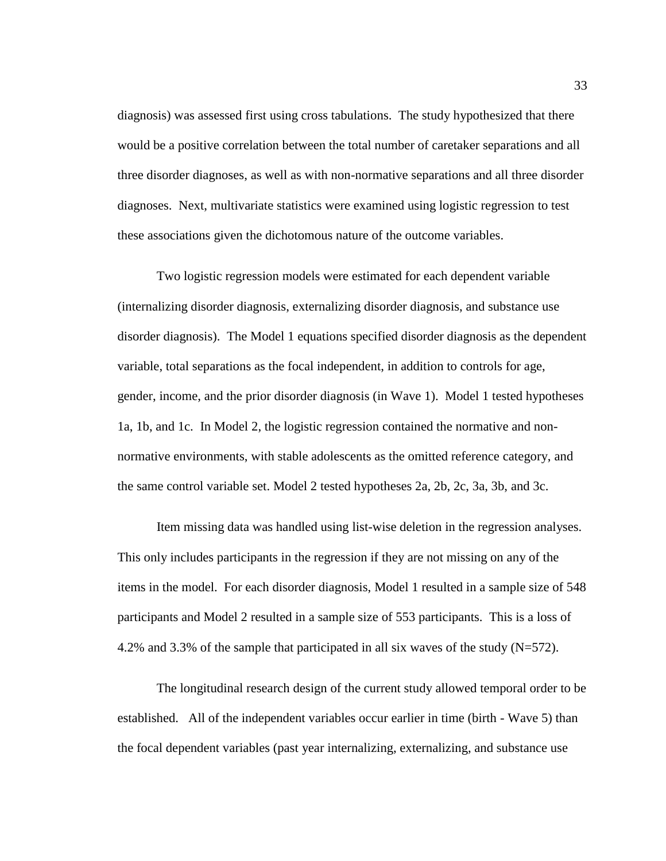diagnosis) was assessed first using cross tabulations. The study hypothesized that there would be a positive correlation between the total number of caretaker separations and all three disorder diagnoses, as well as with non-normative separations and all three disorder diagnoses. Next, multivariate statistics were examined using logistic regression to test these associations given the dichotomous nature of the outcome variables.

Two logistic regression models were estimated for each dependent variable (internalizing disorder diagnosis, externalizing disorder diagnosis, and substance use disorder diagnosis). The Model 1 equations specified disorder diagnosis as the dependent variable, total separations as the focal independent, in addition to controls for age, gender, income, and the prior disorder diagnosis (in Wave 1). Model 1 tested hypotheses 1a, 1b, and 1c. In Model 2, the logistic regression contained the normative and nonnormative environments, with stable adolescents as the omitted reference category, and the same control variable set. Model 2 tested hypotheses 2a, 2b, 2c, 3a, 3b, and 3c.

Item missing data was handled using list-wise deletion in the regression analyses. This only includes participants in the regression if they are not missing on any of the items in the model. For each disorder diagnosis, Model 1 resulted in a sample size of 548 participants and Model 2 resulted in a sample size of 553 participants. This is a loss of 4.2% and 3.3% of the sample that participated in all six waves of the study (N=572).

The longitudinal research design of the current study allowed temporal order to be established. All of the independent variables occur earlier in time (birth - Wave 5) than the focal dependent variables (past year internalizing, externalizing, and substance use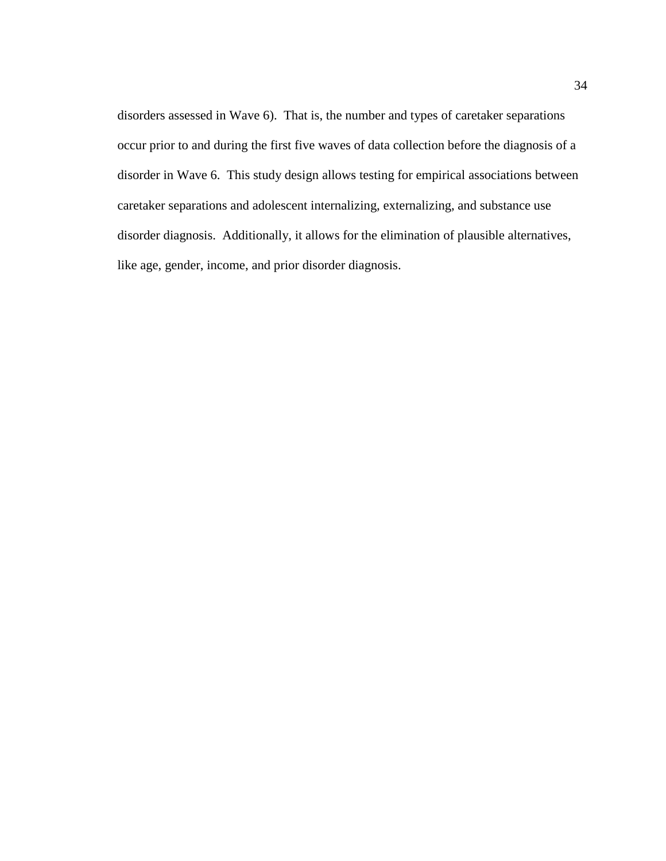disorders assessed in Wave 6). That is, the number and types of caretaker separations occur prior to and during the first five waves of data collection before the diagnosis of a disorder in Wave 6. This study design allows testing for empirical associations between caretaker separations and adolescent internalizing, externalizing, and substance use disorder diagnosis. Additionally, it allows for the elimination of plausible alternatives, like age, gender, income, and prior disorder diagnosis.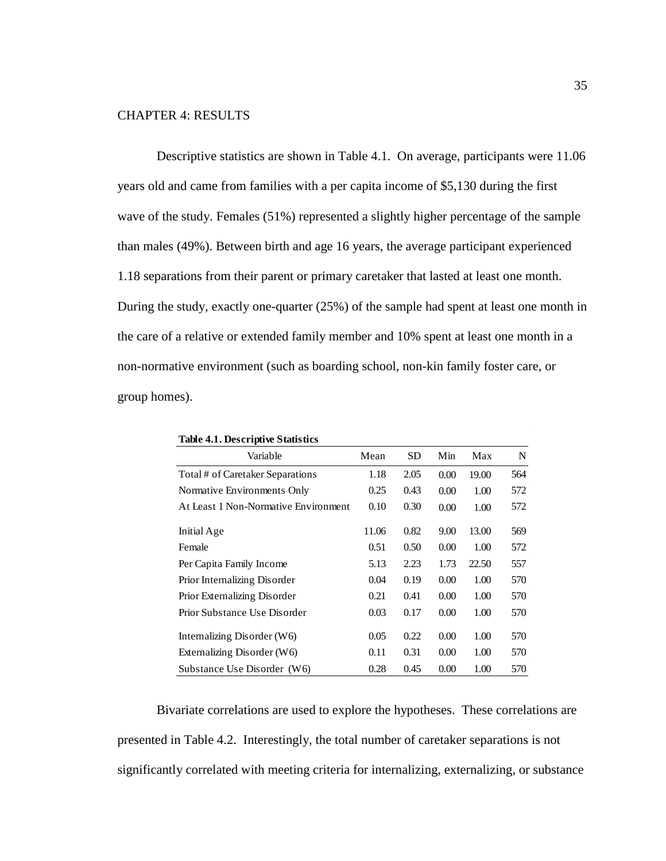# CHAPTER 4: RESULTS

Descriptive statistics are shown in Table 4.1. On average, participants were 11.06 years old and came from families with a per capita income of \$5,130 during the first wave of the study. Females (51%) represented a slightly higher percentage of the sample than males (49%). Between birth and age 16 years, the average participant experienced 1.18 separations from their parent or primary caretaker that lasted at least one month. During the study, exactly one-quarter (25%) of the sample had spent at least one month in the care of a relative or extended family member and 10% spent at least one month in a non-normative environment (such as boarding school, non-kin family foster care, or group homes).

| Table 4.1. Descriptive Datastics     |       |      |      |       |     |
|--------------------------------------|-------|------|------|-------|-----|
| Variable                             | Mean  | SD   | Min  | Max   | N   |
| Total # of Caretaker Separations     | 1.18  | 2.05 | 0.00 | 19.00 | 564 |
| Normative Environments Only          | 0.25  | 0.43 | 0.00 | 1.00  | 572 |
| At Least 1 Non-Normative Environment | 0.10  | 0.30 | 0.00 | 1.00  | 572 |
| Initial Age                          | 11.06 | 0.82 | 9.00 | 13.00 | 569 |
| Female                               | 0.51  | 0.50 | 0.00 | 1.00  | 572 |
| Per Capita Family Income             | 5.13  | 2.23 | 1.73 | 22.50 | 557 |
| Prior Internalizing Disorder         | 0.04  | 0.19 | 0.00 | 1.00  | 570 |
| Prior Externalizing Disorder         | 0.21  | 0.41 | 0.00 | 1.00  | 570 |
| Prior Substance Use Disorder         | 0.03  | 0.17 | 0.00 | 1.00  | 570 |
| Internalizing Disorder $(W6)$        | 0.05  | 0.22 | 0.00 | 1.00  | 570 |
| Externalizing Disorder $(W6)$        | 0.11  | 0.31 | 0.00 | 1.00  | 570 |
| Substance Use Disorder (W6)          | 0.28  | 0.45 | 0.00 | 1.00  | 570 |

**Table 4.1. Descriptive Statistics**

Bivariate correlations are used to explore the hypotheses. These correlations are presented in Table 4.2. Interestingly, the total number of caretaker separations is not significantly correlated with meeting criteria for internalizing, externalizing, or substance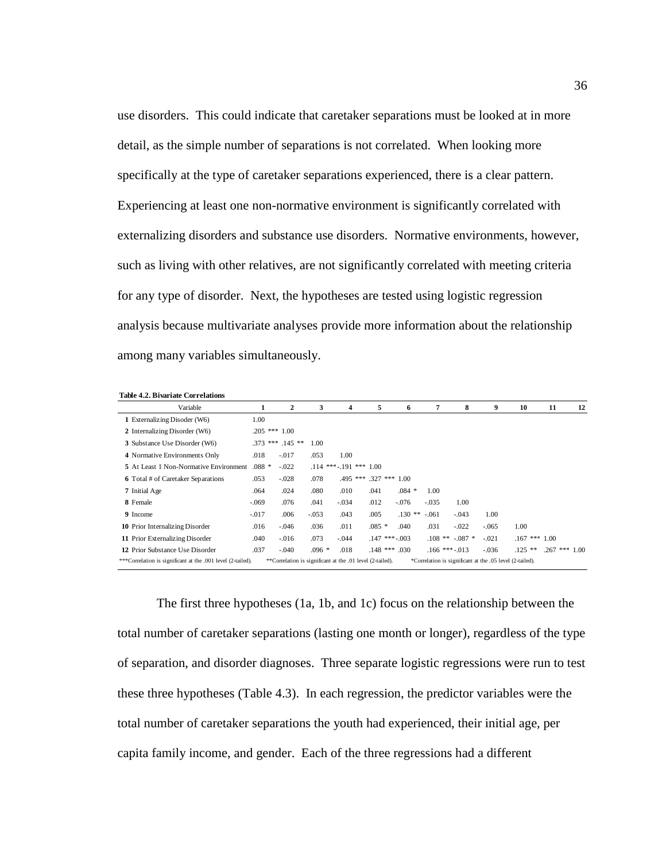use disorders. This could indicate that caretaker separations must be looked at in more detail, as the simple number of separations is not correlated. When looking more specifically at the type of caretaker separations experienced, there is a clear pattern. Experiencing at least one non-normative environment is significantly correlated with externalizing disorders and substance use disorders. Normative environments, however, such as living with other relatives, are not significantly correlated with meeting criteria for any type of disorder. Next, the hypotheses are tested using logistic regression analysis because multivariate analyses provide more information about the relationship among many variables simultaneously.

| <b>Table 4.2. Bivariate Correlations</b>                    |         |                                                           |         |                               |            |                    |         |                                                          |         |                   |                 |    |
|-------------------------------------------------------------|---------|-----------------------------------------------------------|---------|-------------------------------|------------|--------------------|---------|----------------------------------------------------------|---------|-------------------|-----------------|----|
| Variable                                                    | 1       | 2                                                         | 3       | 4                             | 5          | 6                  | 7       | 8                                                        | 9       | 10                | 11              | 12 |
| 1 Externalizing Disoder (W6)                                | 1.00    |                                                           |         |                               |            |                    |         |                                                          |         |                   |                 |    |
| 2 Internalizing Disorder (W6)                               |         | $.205$ *** $1.00$                                         |         |                               |            |                    |         |                                                          |         |                   |                 |    |
| 3 Substance Use Disorder (W6)                               |         | $.373$ *** $.145$ **                                      | 1.00    |                               |            |                    |         |                                                          |         |                   |                 |    |
| 4 Normative Environments Only                               | .018    | $-.017$                                                   | .053    | 1.00                          |            |                    |         |                                                          |         |                   |                 |    |
| 5 At Least 1 Non-Normative Environment                      | $.088*$ | $-.022$                                                   |         | $.114$ *** $-.191$ *** $1.00$ |            |                    |         |                                                          |         |                   |                 |    |
| <b>6</b> Total # of Caretaker Separations                   | .053    | $-.028$                                                   | .078    | $.495***$                     | $.327$ *** | 1.00               |         |                                                          |         |                   |                 |    |
| 7 Initial Age                                               | .064    | .024                                                      | .080    | .010                          | .041       | $.084*$            | 1.00    |                                                          |         |                   |                 |    |
| 8 Female                                                    | $-.069$ | .076                                                      | .041    | $-.034$                       | .012       | $-.076$            | $-.035$ | 1.00                                                     |         |                   |                 |    |
| 9 Income                                                    | $-.017$ | .006                                                      | $-.053$ | .043                          | .005       | $.130**$           | $-.061$ | $-.043$                                                  | 1.00    |                   |                 |    |
| <b>10</b> Prior Internalizing Disorder                      | .016    | $-.046$                                                   | .036    | .011                          | $.085*$    | .040               | .031    | $-.022$                                                  | $-.065$ | 1.00              |                 |    |
| 11 Prior Externalizing Disorder                             | .040    | $-.016$                                                   | .073    | $-.044$                       |            | $.147$ *** $-.003$ |         | $.108$ ** $-.087$ *                                      | $-.021$ | $.167$ *** $1.00$ |                 |    |
| 12 Prior Substance Use Disorder                             | .037    | $-.040$                                                   | $.096*$ | .018                          |            | $.148$ *** $.030$  |         | $.166$ *** $-.013$                                       | $-.036$ | $.125$ **         | $.267$ *** 1.00 |    |
| ***Correlation is significant at the .001 level (2-tailed). |         | **Correlation is significant at the .01 level (2-tailed). |         |                               |            |                    |         | *Correlation is significant at the .05 level (2-tailed). |         |                   |                 |    |

The first three hypotheses (1a, 1b, and 1c) focus on the relationship between the total number of caretaker separations (lasting one month or longer), regardless of the type of separation, and disorder diagnoses. Three separate logistic regressions were run to test these three hypotheses (Table 4.3). In each regression, the predictor variables were the total number of caretaker separations the youth had experienced, their initial age, per capita family income, and gender. Each of the three regressions had a different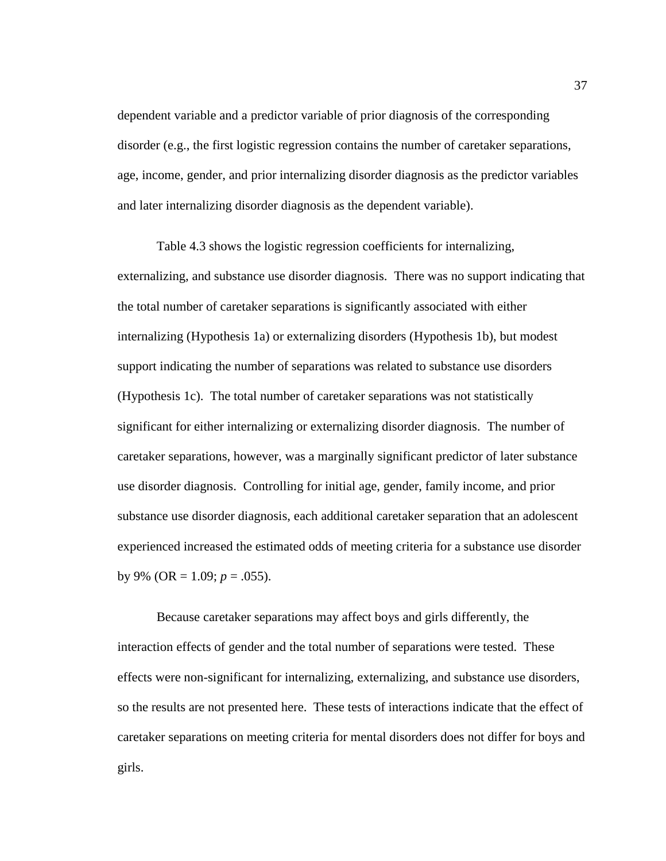dependent variable and a predictor variable of prior diagnosis of the corresponding disorder (e.g., the first logistic regression contains the number of caretaker separations, age, income, gender, and prior internalizing disorder diagnosis as the predictor variables and later internalizing disorder diagnosis as the dependent variable).

Table 4.3 shows the logistic regression coefficients for internalizing, externalizing, and substance use disorder diagnosis. There was no support indicating that the total number of caretaker separations is significantly associated with either internalizing (Hypothesis 1a) or externalizing disorders (Hypothesis 1b), but modest support indicating the number of separations was related to substance use disorders (Hypothesis 1c). The total number of caretaker separations was not statistically significant for either internalizing or externalizing disorder diagnosis. The number of caretaker separations, however, was a marginally significant predictor of later substance use disorder diagnosis. Controlling for initial age, gender, family income, and prior substance use disorder diagnosis, each additional caretaker separation that an adolescent experienced increased the estimated odds of meeting criteria for a substance use disorder by 9% (OR =  $1.09$ ;  $p = .055$ ).

Because caretaker separations may affect boys and girls differently, the interaction effects of gender and the total number of separations were tested. These effects were non-significant for internalizing, externalizing, and substance use disorders, so the results are not presented here. These tests of interactions indicate that the effect of caretaker separations on meeting criteria for mental disorders does not differ for boys and girls.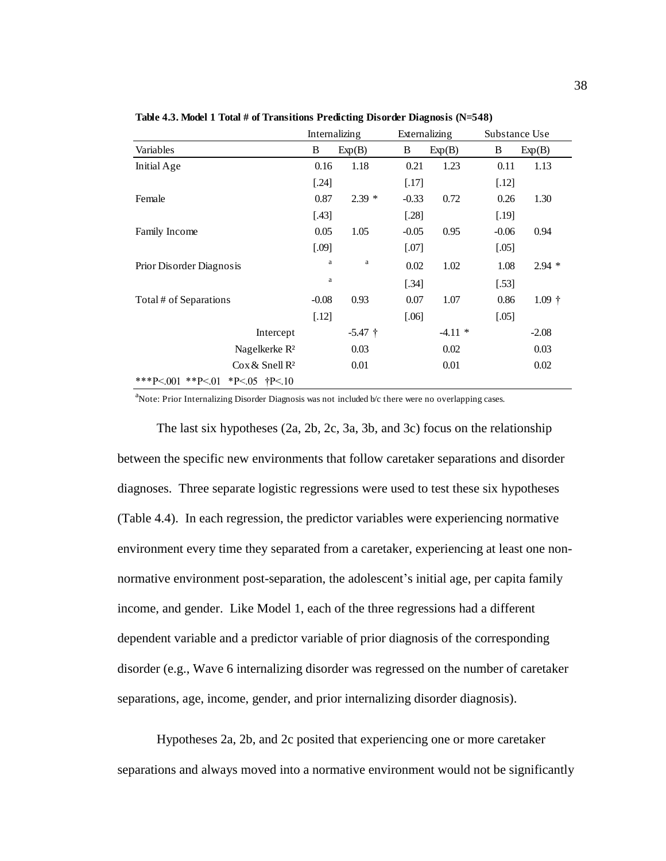|                                              |         | Internalizing | Externalizing |          | Substance Use |          |
|----------------------------------------------|---------|---------------|---------------|----------|---------------|----------|
| Variables                                    | B       | Exp(B)        | B             | Exp(B)   | B             | Exp(B)   |
| Initial Age                                  | 0.16    | 1.18          | 0.21          | 1.23     | 0.11          | 1.13     |
|                                              | $[.24]$ |               | $[.17]$       |          | $[.12]$       |          |
| Female                                       | 0.87    | $2.39*$       | $-0.33$       | 0.72     | 0.26          | 1.30     |
|                                              | $[.43]$ |               | $[.28]$       |          | $[.19]$       |          |
| Family Income                                | 0.05    | 1.05          | $-0.05$       | 0.95     | $-0.06$       | 0.94     |
|                                              | [.09]   |               | $[.07]$       |          | $[.05]$       |          |
| Prior Disorder Diagnosis                     | a       | a             | 0.02          | 1.02     | 1.08          | $2.94*$  |
|                                              | a       |               | [.34]         |          | $[.53]$       |          |
| Total # of Separations                       | $-0.08$ | 0.93          | 0.07          | 1.07     | 0.86          | $1.09 +$ |
|                                              | $[.12]$ |               | $[.06]$       |          | $[.05]$       |          |
| Intercept                                    |         | $-5.47$ †     |               | $-4.11*$ |               | $-2.08$  |
| Nagelkerke R <sup>2</sup>                    |         | 0.03          |               | 0.02     |               | 0.03     |
| $\cos \&$ Snell R <sup>2</sup>               |         | 0.01          |               | 0.01     |               | 0.02     |
| ***P<.001 **P<.01<br>*P<.05 $\text{t}$ P<.10 |         |               |               |          |               |          |

**Table 4.3. Model 1 Total # of Transitions Predicting Disorder Diagnosis (N=548)**

<sup>a</sup>Note: Prior Internalizing Disorder Diagnosis was not included b/c there were no overlapping cases.

The last six hypotheses (2a, 2b, 2c, 3a, 3b, and 3c) focus on the relationship between the specific new environments that follow caretaker separations and disorder diagnoses. Three separate logistic regressions were used to test these six hypotheses (Table 4.4). In each regression, the predictor variables were experiencing normative environment every time they separated from a caretaker, experiencing at least one nonnormative environment post-separation, the adolescent's initial age, per capita family income, and gender. Like Model 1, each of the three regressions had a different dependent variable and a predictor variable of prior diagnosis of the corresponding disorder (e.g., Wave 6 internalizing disorder was regressed on the number of caretaker separations, age, income, gender, and prior internalizing disorder diagnosis).

Hypotheses 2a, 2b, and 2c posited that experiencing one or more caretaker separations and always moved into a normative environment would not be significantly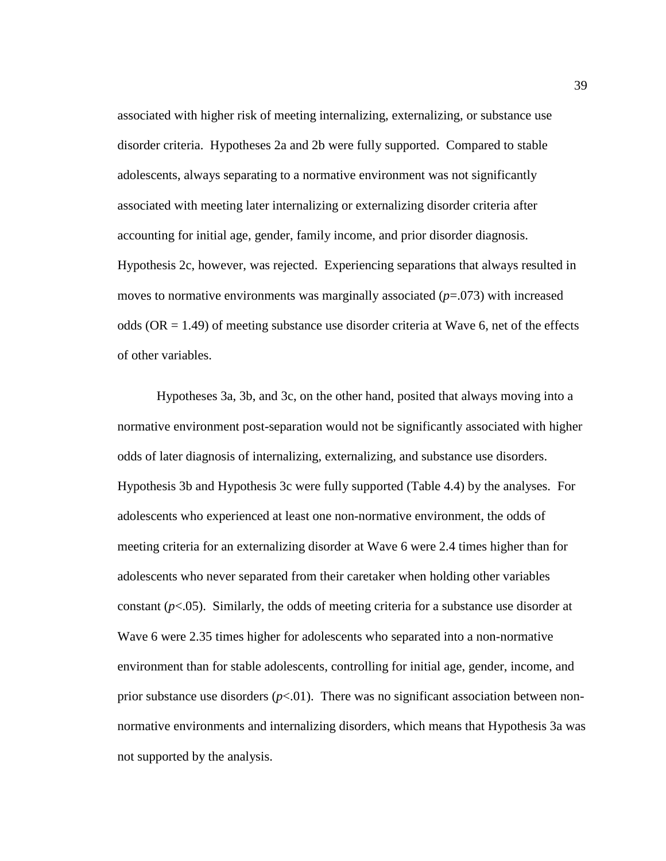associated with higher risk of meeting internalizing, externalizing, or substance use disorder criteria. Hypotheses 2a and 2b were fully supported. Compared to stable adolescents, always separating to a normative environment was not significantly associated with meeting later internalizing or externalizing disorder criteria after accounting for initial age, gender, family income, and prior disorder diagnosis. Hypothesis 2c, however, was rejected. Experiencing separations that always resulted in moves to normative environments was marginally associated  $(p=0.073)$  with increased odds ( $OR = 1.49$ ) of meeting substance use disorder criteria at Wave 6, net of the effects of other variables.

Hypotheses 3a, 3b, and 3c, on the other hand, posited that always moving into a normative environment post-separation would not be significantly associated with higher odds of later diagnosis of internalizing, externalizing, and substance use disorders. Hypothesis 3b and Hypothesis 3c were fully supported (Table 4.4) by the analyses. For adolescents who experienced at least one non-normative environment, the odds of meeting criteria for an externalizing disorder at Wave 6 were 2.4 times higher than for adolescents who never separated from their caretaker when holding other variables constant (*p*<.05). Similarly, the odds of meeting criteria for a substance use disorder at Wave 6 were 2.35 times higher for adolescents who separated into a non-normative environment than for stable adolescents, controlling for initial age, gender, income, and prior substance use disorders  $(p<0.01)$ . There was no significant association between nonnormative environments and internalizing disorders, which means that Hypothesis 3a was not supported by the analysis.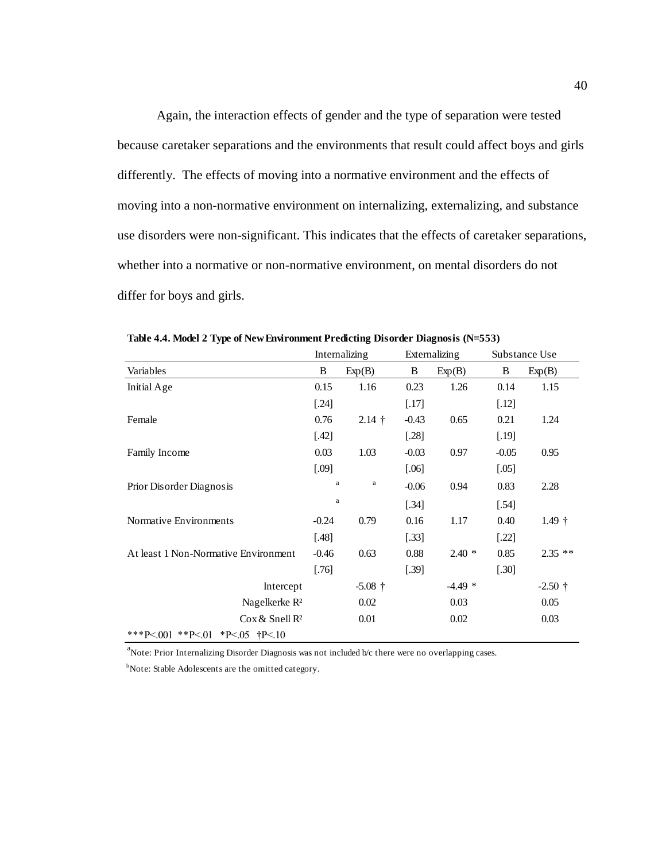Again, the interaction effects of gender and the type of separation were tested because caretaker separations and the environments that result could affect boys and girls differently. The effects of moving into a normative environment and the effects of moving into a non-normative environment on internalizing, externalizing, and substance use disorders were non-significant. This indicates that the effects of caretaker separations, whether into a normative or non-normative environment, on mental disorders do not differ for boys and girls.

|                                              |              | Internalizing |         | Externalizing | Substance Use |           |  |
|----------------------------------------------|--------------|---------------|---------|---------------|---------------|-----------|--|
| Variables                                    | B<br>Exp(B)  |               | B       | Exp(B)        | B             | Exp(B)    |  |
| Initial Age                                  | 0.15         | 1.16          | 0.23    | 1.26          | 0.14          | 1.15      |  |
|                                              | $[.24]$      |               | $[.17]$ |               | $[.12]$       |           |  |
| Female                                       | 0.76         | $2.14$ †      | $-0.43$ | 0.65          | 0.21          | 1.24      |  |
|                                              | $[.42]$      |               | $[.28]$ |               | $[.19]$       |           |  |
| Family Income                                | 0.03         | 1.03          | $-0.03$ | 0.97          | $-0.05$       | 0.95      |  |
|                                              | $[.09]$      |               | $[.06]$ |               | $[.05]$       |           |  |
| Prior Disorder Diagnosis                     | $\rm{a}$     | a             | $-0.06$ | 0.94          | 0.83          | 2.28      |  |
|                                              | $\mathbf{a}$ |               | $[.34]$ |               | [.54]         |           |  |
| Normative Environments                       | $-0.24$      | 0.79          | 0.16    | 1.17          | 0.40          | $1.49$ †  |  |
|                                              | $[.48]$      |               | $[.33]$ |               | $[.22]$       |           |  |
| At least 1 Non-Normative Environment         | $-0.46$      | 0.63          | 0.88    | $2.40*$       | 0.85          | $2.35$ ** |  |
|                                              | $[.76]$      |               | $[.39]$ |               | $[.30]$       |           |  |
| Intercept                                    |              | $-5.08$ †     |         | $-4.49*$      |               | $-2.50$ † |  |
| Nagelkerke R <sup>2</sup>                    |              | 0.02          |         | 0.03          |               | 0.05      |  |
| $\cos \&$ Snell R <sup>2</sup>               |              | 0.01          |         | 0.02          |               | 0.03      |  |
| ***P<.001 **P<.01<br>*P<.05 $\text{t}$ P<.10 |              |               |         |               |               |           |  |

**Table 4.4. Model 2 Type of New Environment Predicting Disorder Diagnosis (N=553)**

<sup>a</sup>Note: Prior Internalizing Disorder Diagnosis was not included b/c there were no overlapping cases.

<sup>b</sup>Note: Stable Adolescents are the omitted category.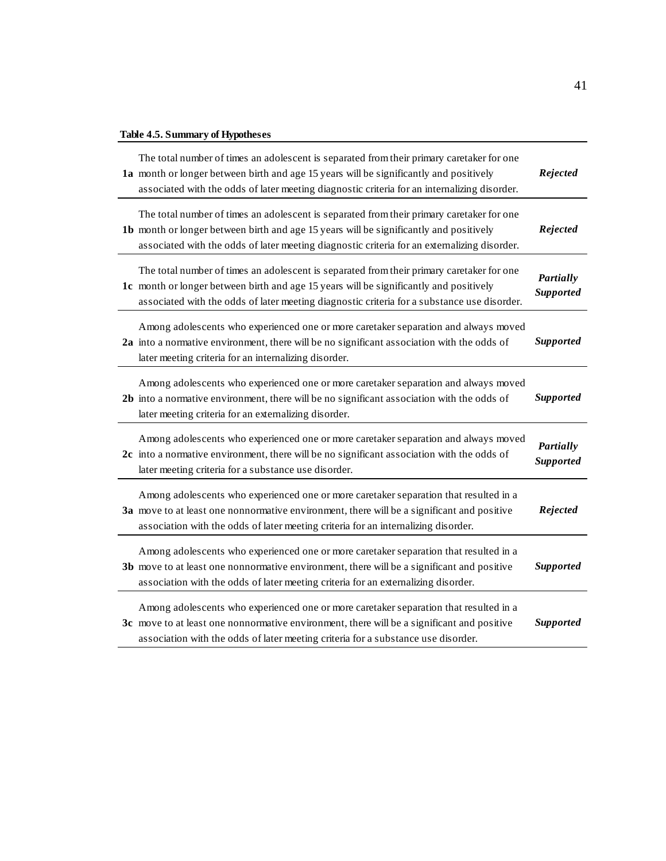# **Table 4.5. Summary of Hypotheses**

| Table 4.5. Summary of Hypotheses                                                                                                                                                                                                                                                    |                               |
|-------------------------------------------------------------------------------------------------------------------------------------------------------------------------------------------------------------------------------------------------------------------------------------|-------------------------------|
| The total number of times an adolescent is separated from their primary caretaker for one<br>1a month or longer between birth and age 15 years will be significantly and positively<br>associated with the odds of later meeting diagnostic criteria for an internalizing disorder. | Rejected                      |
| The total number of times an adolescent is separated from their primary caretaker for one<br>1b month or longer between birth and age 15 years will be significantly and positively<br>associated with the odds of later meeting diagnostic criteria for an externalizing disorder. | Rejected                      |
| The total number of times an adolescent is separated from their primary caretaker for one<br>1c month or longer between birth and age 15 years will be significantly and positively<br>associated with the odds of later meeting diagnostic criteria for a substance use disorder.  | Partially<br><b>Supported</b> |
| Among adolescents who experienced one or more caretaker separation and always moved<br>2a into a normative environment, there will be no significant association with the odds of<br>later meeting criteria for an internalizing disorder.                                          | <b>Supported</b>              |
| Among adolescents who experienced one or more caretaker separation and always moved<br>2b into a normative environment, there will be no significant association with the odds of<br>later meeting criteria for an externalizing disorder.                                          | <b>Supported</b>              |
| Among adolescents who experienced one or more caretaker separation and always moved<br>2c into a normative environment, there will be no significant association with the odds of<br>later meeting criteria for a substance use disorder.                                           | Partially<br>Supported        |
| Among adolescents who experienced one or more caretaker separation that resulted in a<br>3a move to at least one nonnormative environment, there will be a significant and positive<br>association with the odds of later meeting criteria for an internalizing disorder.           | Rejected                      |
| Among adolescents who experienced one or more caretaker separation that resulted in a<br>3b move to at least one nonnormative environment, there will be a significant and positive<br>association with the odds of later meeting criteria for an externalizing disorder.           | <b>Supported</b>              |
| Among adolescents who experienced one or more caretaker separation that resulted in a<br>3c move to at least one nonnormative environment, there will be a significant and positive<br>association with the odds of later meeting criteria for a substance use disorder.            | <b>Supported</b>              |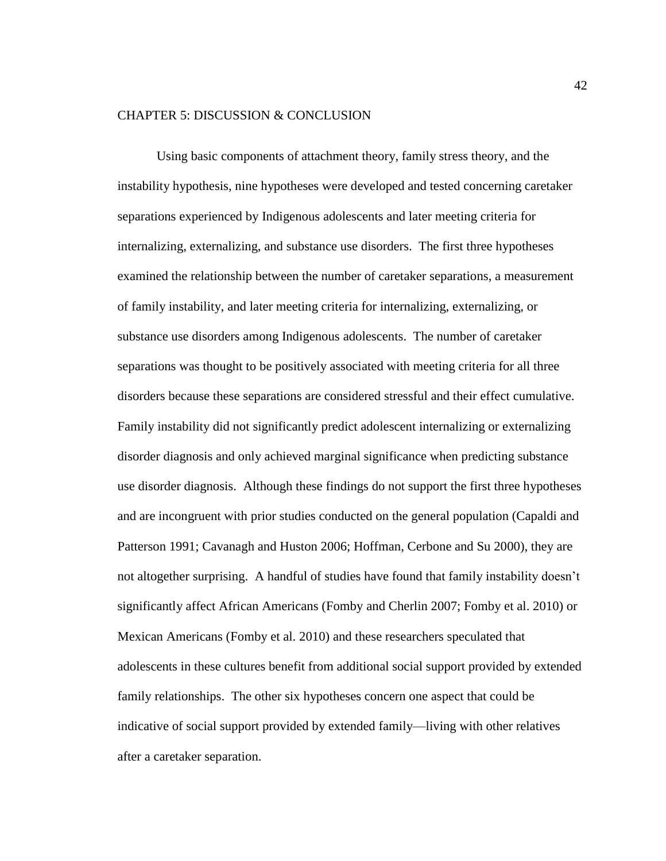#### CHAPTER 5: DISCUSSION & CONCLUSION

Using basic components of attachment theory, family stress theory, and the instability hypothesis, nine hypotheses were developed and tested concerning caretaker separations experienced by Indigenous adolescents and later meeting criteria for internalizing, externalizing, and substance use disorders. The first three hypotheses examined the relationship between the number of caretaker separations, a measurement of family instability, and later meeting criteria for internalizing, externalizing, or substance use disorders among Indigenous adolescents. The number of caretaker separations was thought to be positively associated with meeting criteria for all three disorders because these separations are considered stressful and their effect cumulative. Family instability did not significantly predict adolescent internalizing or externalizing disorder diagnosis and only achieved marginal significance when predicting substance use disorder diagnosis. Although these findings do not support the first three hypotheses and are incongruent with prior studies conducted on the general population (Capaldi and Patterson 1991; Cavanagh and Huston 2006; Hoffman, Cerbone and Su 2000), they are not altogether surprising. A handful of studies have found that family instability doesn't significantly affect African Americans (Fomby and Cherlin 2007; Fomby et al. 2010) or Mexican Americans (Fomby et al. 2010) and these researchers speculated that adolescents in these cultures benefit from additional social support provided by extended family relationships. The other six hypotheses concern one aspect that could be indicative of social support provided by extended family—living with other relatives after a caretaker separation.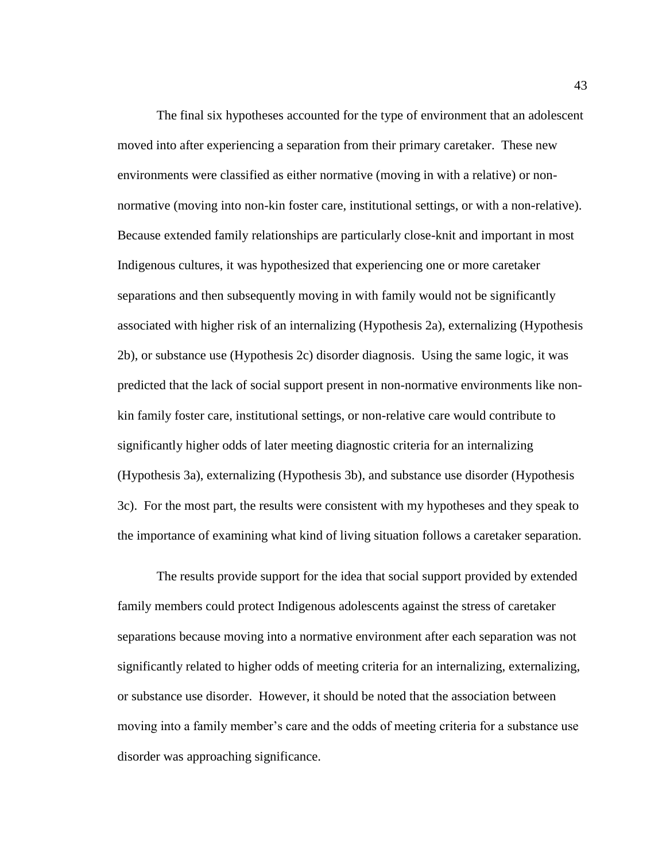The final six hypotheses accounted for the type of environment that an adolescent moved into after experiencing a separation from their primary caretaker. These new environments were classified as either normative (moving in with a relative) or nonnormative (moving into non-kin foster care, institutional settings, or with a non-relative). Because extended family relationships are particularly close-knit and important in most Indigenous cultures, it was hypothesized that experiencing one or more caretaker separations and then subsequently moving in with family would not be significantly associated with higher risk of an internalizing (Hypothesis 2a), externalizing (Hypothesis 2b), or substance use (Hypothesis 2c) disorder diagnosis. Using the same logic, it was predicted that the lack of social support present in non-normative environments like nonkin family foster care, institutional settings, or non-relative care would contribute to significantly higher odds of later meeting diagnostic criteria for an internalizing (Hypothesis 3a), externalizing (Hypothesis 3b), and substance use disorder (Hypothesis 3c). For the most part, the results were consistent with my hypotheses and they speak to the importance of examining what kind of living situation follows a caretaker separation.

The results provide support for the idea that social support provided by extended family members could protect Indigenous adolescents against the stress of caretaker separations because moving into a normative environment after each separation was not significantly related to higher odds of meeting criteria for an internalizing, externalizing, or substance use disorder. However, it should be noted that the association between moving into a family member's care and the odds of meeting criteria for a substance use disorder was approaching significance.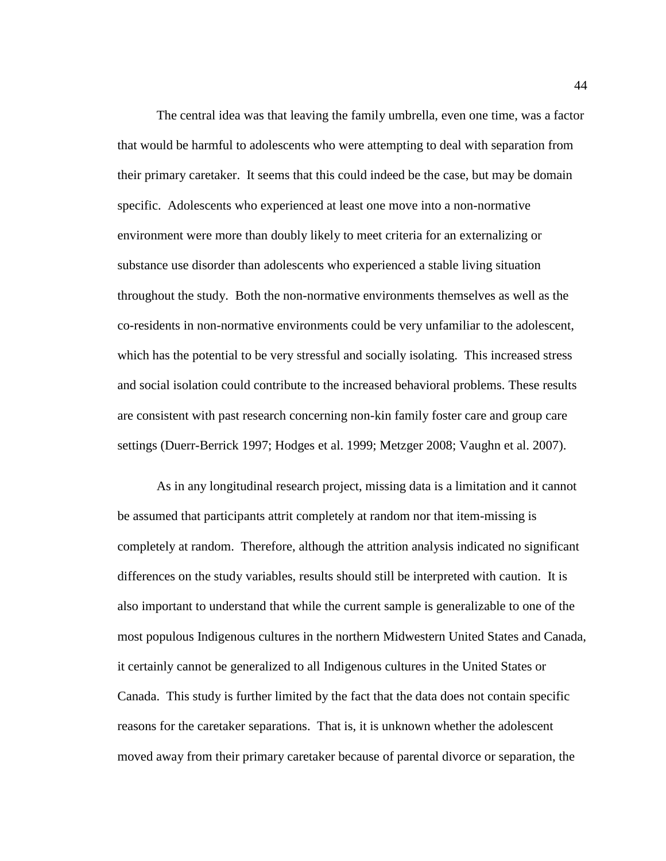The central idea was that leaving the family umbrella, even one time, was a factor that would be harmful to adolescents who were attempting to deal with separation from their primary caretaker. It seems that this could indeed be the case, but may be domain specific. Adolescents who experienced at least one move into a non-normative environment were more than doubly likely to meet criteria for an externalizing or substance use disorder than adolescents who experienced a stable living situation throughout the study. Both the non-normative environments themselves as well as the co-residents in non-normative environments could be very unfamiliar to the adolescent, which has the potential to be very stressful and socially isolating. This increased stress and social isolation could contribute to the increased behavioral problems. These results are consistent with past research concerning non-kin family foster care and group care settings (Duerr-Berrick 1997; Hodges et al. 1999; Metzger 2008; Vaughn et al. 2007).

As in any longitudinal research project, missing data is a limitation and it cannot be assumed that participants attrit completely at random nor that item-missing is completely at random. Therefore, although the attrition analysis indicated no significant differences on the study variables, results should still be interpreted with caution. It is also important to understand that while the current sample is generalizable to one of the most populous Indigenous cultures in the northern Midwestern United States and Canada, it certainly cannot be generalized to all Indigenous cultures in the United States or Canada. This study is further limited by the fact that the data does not contain specific reasons for the caretaker separations. That is, it is unknown whether the adolescent moved away from their primary caretaker because of parental divorce or separation, the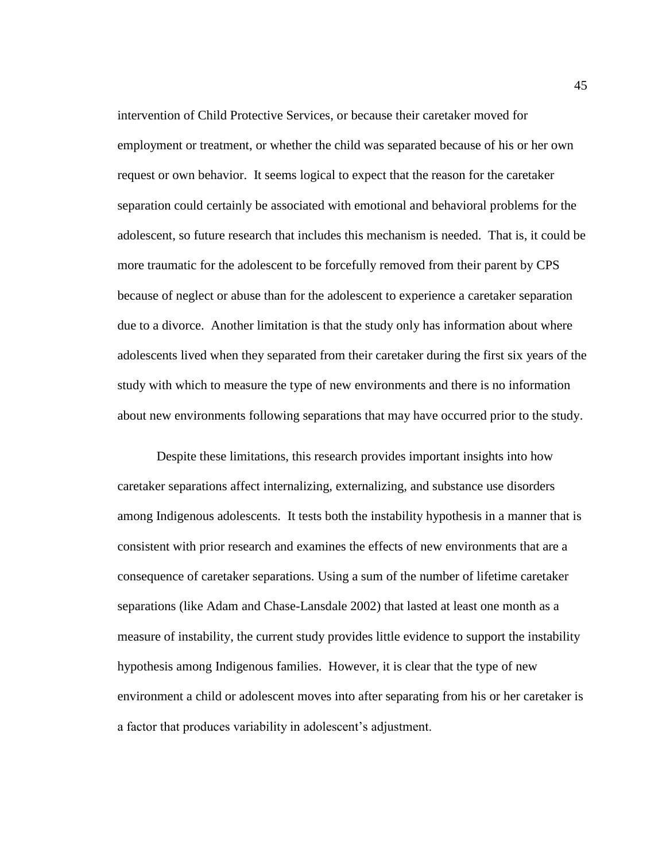intervention of Child Protective Services, or because their caretaker moved for employment or treatment, or whether the child was separated because of his or her own request or own behavior. It seems logical to expect that the reason for the caretaker separation could certainly be associated with emotional and behavioral problems for the adolescent, so future research that includes this mechanism is needed. That is, it could be more traumatic for the adolescent to be forcefully removed from their parent by CPS because of neglect or abuse than for the adolescent to experience a caretaker separation due to a divorce. Another limitation is that the study only has information about where adolescents lived when they separated from their caretaker during the first six years of the study with which to measure the type of new environments and there is no information about new environments following separations that may have occurred prior to the study.

Despite these limitations, this research provides important insights into how caretaker separations affect internalizing, externalizing, and substance use disorders among Indigenous adolescents. It tests both the instability hypothesis in a manner that is consistent with prior research and examines the effects of new environments that are a consequence of caretaker separations. Using a sum of the number of lifetime caretaker separations (like Adam and Chase-Lansdale 2002) that lasted at least one month as a measure of instability, the current study provides little evidence to support the instability hypothesis among Indigenous families. However, it is clear that the type of new environment a child or adolescent moves into after separating from his or her caretaker is a factor that produces variability in adolescent's adjustment.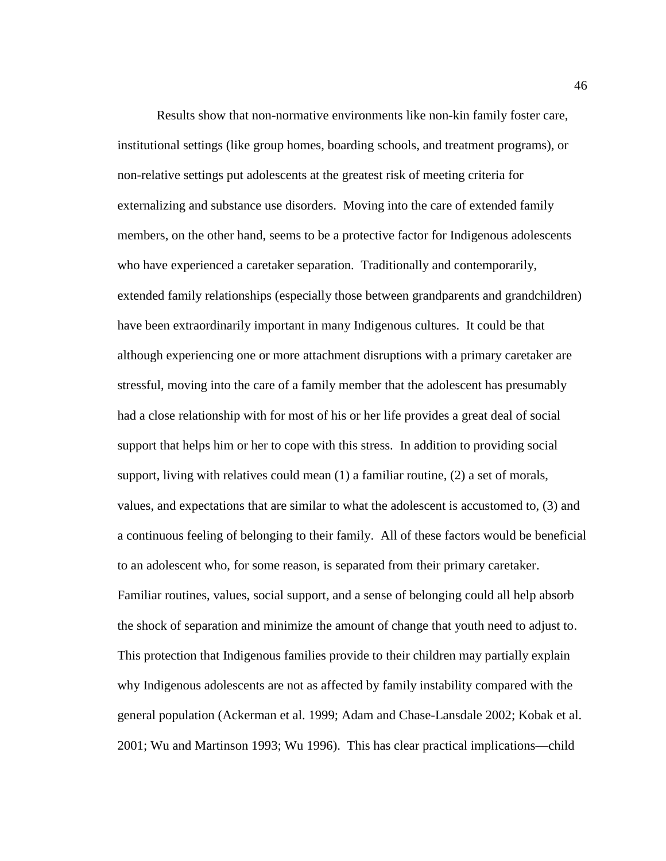Results show that non-normative environments like non-kin family foster care, institutional settings (like group homes, boarding schools, and treatment programs), or non-relative settings put adolescents at the greatest risk of meeting criteria for externalizing and substance use disorders. Moving into the care of extended family members, on the other hand, seems to be a protective factor for Indigenous adolescents who have experienced a caretaker separation. Traditionally and contemporarily, extended family relationships (especially those between grandparents and grandchildren) have been extraordinarily important in many Indigenous cultures. It could be that although experiencing one or more attachment disruptions with a primary caretaker are stressful, moving into the care of a family member that the adolescent has presumably had a close relationship with for most of his or her life provides a great deal of social support that helps him or her to cope with this stress. In addition to providing social support, living with relatives could mean (1) a familiar routine, (2) a set of morals, values, and expectations that are similar to what the adolescent is accustomed to, (3) and a continuous feeling of belonging to their family. All of these factors would be beneficial to an adolescent who, for some reason, is separated from their primary caretaker. Familiar routines, values, social support, and a sense of belonging could all help absorb the shock of separation and minimize the amount of change that youth need to adjust to. This protection that Indigenous families provide to their children may partially explain why Indigenous adolescents are not as affected by family instability compared with the general population (Ackerman et al. 1999; Adam and Chase-Lansdale 2002; Kobak et al. 2001; Wu and Martinson 1993; Wu 1996). This has clear practical implications—child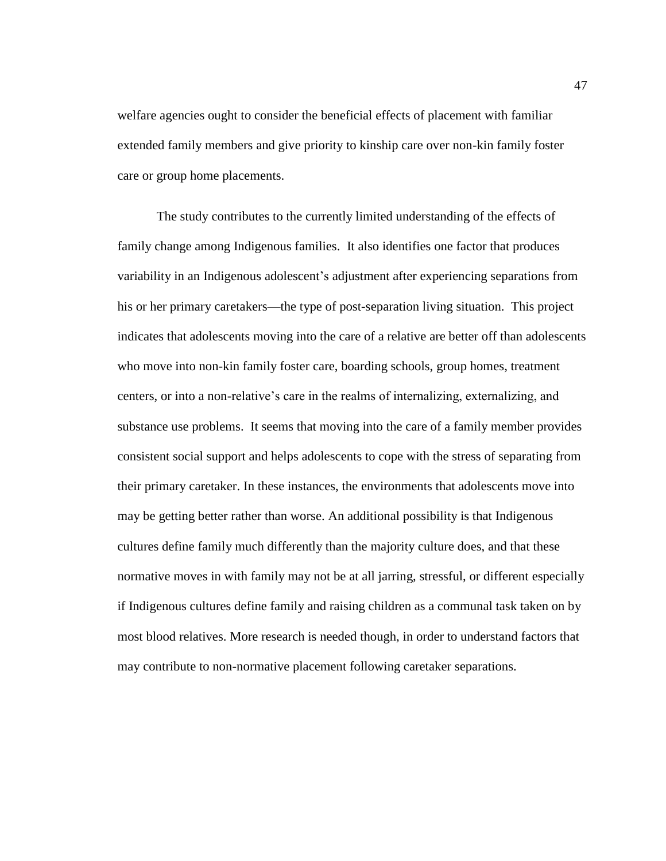welfare agencies ought to consider the beneficial effects of placement with familiar extended family members and give priority to kinship care over non-kin family foster care or group home placements.

The study contributes to the currently limited understanding of the effects of family change among Indigenous families. It also identifies one factor that produces variability in an Indigenous adolescent's adjustment after experiencing separations from his or her primary caretakers—the type of post-separation living situation. This project indicates that adolescents moving into the care of a relative are better off than adolescents who move into non-kin family foster care, boarding schools, group homes, treatment centers, or into a non-relative's care in the realms of internalizing, externalizing, and substance use problems. It seems that moving into the care of a family member provides consistent social support and helps adolescents to cope with the stress of separating from their primary caretaker. In these instances, the environments that adolescents move into may be getting better rather than worse. An additional possibility is that Indigenous cultures define family much differently than the majority culture does, and that these normative moves in with family may not be at all jarring, stressful, or different especially if Indigenous cultures define family and raising children as a communal task taken on by most blood relatives. More research is needed though, in order to understand factors that may contribute to non-normative placement following caretaker separations.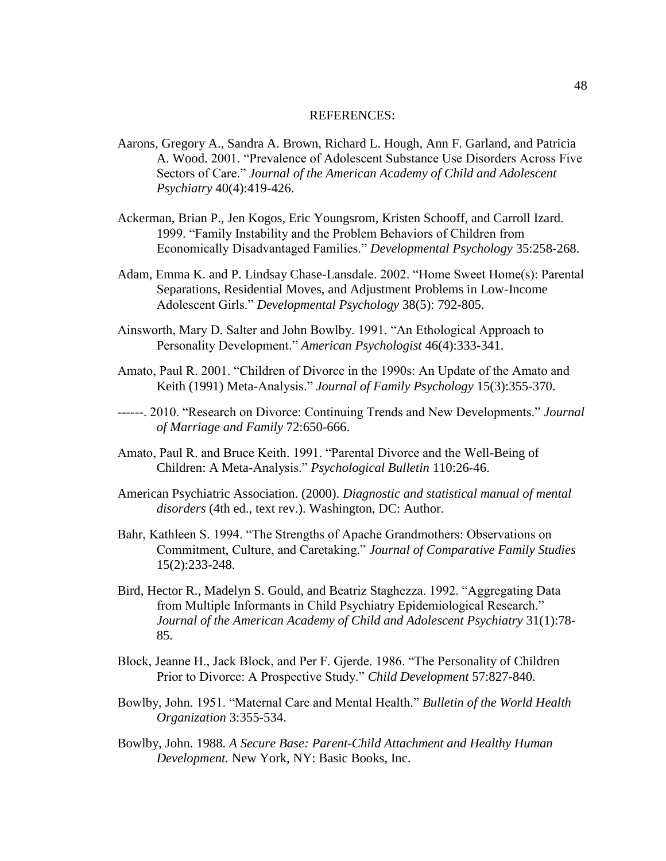#### REFERENCES:

- Aarons, Gregory A., Sandra A. Brown, Richard L. Hough, Ann F. Garland, and Patricia A. Wood. 2001. "Prevalence of Adolescent Substance Use Disorders Across Five Sectors of Care." *Journal of the American Academy of Child and Adolescent Psychiatry* 40(4):419-426.
- Ackerman, Brian P., Jen Kogos, Eric Youngsrom, Kristen Schooff, and Carroll Izard. 1999. "Family Instability and the Problem Behaviors of Children from Economically Disadvantaged Families." *Developmental Psychology* 35:258-268.
- Adam, Emma K. and P. Lindsay Chase-Lansdale. 2002. "Home Sweet Home(s): Parental Separations, Residential Moves, and Adjustment Problems in Low-Income Adolescent Girls." *Developmental Psychology* 38(5): 792-805.
- Ainsworth, Mary D. Salter and John Bowlby. 1991. "An Ethological Approach to Personality Development." *American Psychologist* 46(4):333-341.
- Amato, Paul R. 2001. "Children of Divorce in the 1990s: An Update of the Amato and Keith (1991) Meta-Analysis." *Journal of Family Psychology* 15(3):355-370.
- ------. 2010. "Research on Divorce: Continuing Trends and New Developments." *Journal of Marriage and Family* 72:650-666.
- Amato, Paul R. and Bruce Keith. 1991. "Parental Divorce and the Well-Being of Children: A Meta-Analysis." *Psychological Bulletin* 110:26-46.
- American Psychiatric Association. (2000). *Diagnostic and statistical manual of mental disorders* (4th ed., text rev.). Washington, DC: Author.
- Bahr, Kathleen S. 1994. "The Strengths of Apache Grandmothers: Observations on Commitment, Culture, and Caretaking." *Journal of Comparative Family Studies*  15(2):233-248.
- Bird, Hector R., Madelyn S. Gould, and Beatriz Staghezza. 1992. "Aggregating Data from Multiple Informants in Child Psychiatry Epidemiological Research." *Journal of the American Academy of Child and Adolescent Psychiatry* 31(1):78- 85.
- Block, Jeanne H., Jack Block, and Per F. Gjerde. 1986. "The Personality of Children Prior to Divorce: A Prospective Study." *Child Development* 57:827-840.
- Bowlby, John. 1951. "Maternal Care and Mental Health." *Bulletin of the World Health Organization* 3:355-534.
- Bowlby, John. 1988. *A Secure Base: Parent-Child Attachment and Healthy Human Development.* New York, NY: Basic Books, Inc.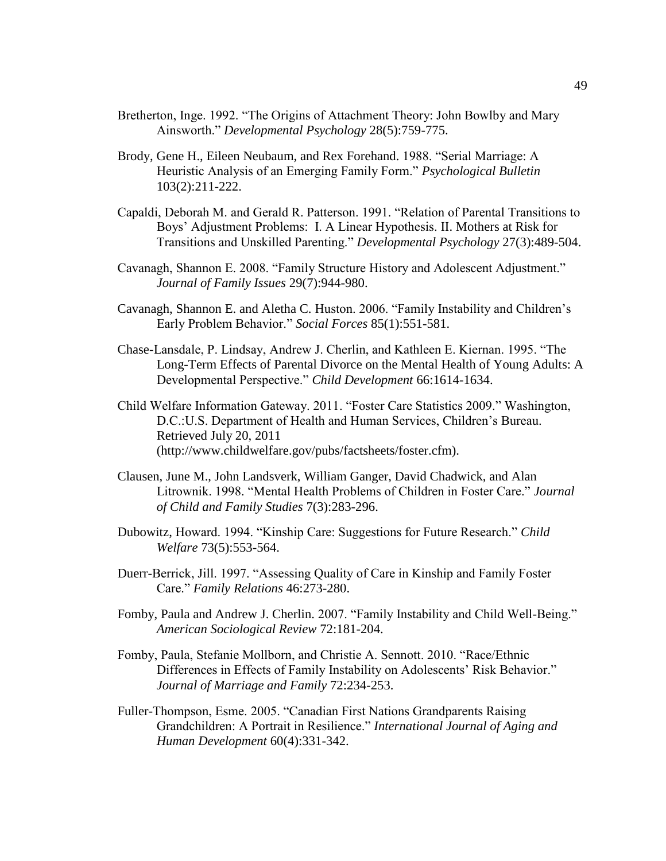- Bretherton, Inge. 1992. "The Origins of Attachment Theory: John Bowlby and Mary Ainsworth." *Developmental Psychology* 28(5):759-775.
- Brody, Gene H., Eileen Neubaum, and Rex Forehand. 1988. "Serial Marriage: A Heuristic Analysis of an Emerging Family Form." *Psychological Bulletin*  103(2):211-222.
- Capaldi, Deborah M. and Gerald R. Patterson. 1991. "Relation of Parental Transitions to Boys' Adjustment Problems: I. A Linear Hypothesis. II. Mothers at Risk for Transitions and Unskilled Parenting." *Developmental Psychology* 27(3):489-504.
- Cavanagh, Shannon E. 2008. "Family Structure History and Adolescent Adjustment." *Journal of Family Issues* 29(7):944-980.
- Cavanagh, Shannon E. and Aletha C. Huston. 2006. "Family Instability and Children's Early Problem Behavior." *Social Forces* 85(1):551-581.
- Chase-Lansdale, P. Lindsay, Andrew J. Cherlin, and Kathleen E. Kiernan. 1995. "The Long-Term Effects of Parental Divorce on the Mental Health of Young Adults: A Developmental Perspective." *Child Development* 66:1614-1634.
- Child Welfare Information Gateway. 2011. "Foster Care Statistics 2009." Washington, D.C.:U.S. Department of Health and Human Services, Children's Bureau. Retrieved July 20, 2011 (http://www.childwelfare.gov/pubs/factsheets/foster.cfm).
- Clausen, June M., John Landsverk, William Ganger, David Chadwick, and Alan Litrownik. 1998. "Mental Health Problems of Children in Foster Care." *Journal of Child and Family Studies* 7(3):283-296.
- Dubowitz, Howard. 1994. "Kinship Care: Suggestions for Future Research." *Child Welfare* 73(5):553-564.
- Duerr-Berrick, Jill. 1997. "Assessing Quality of Care in Kinship and Family Foster Care." *Family Relations* 46:273-280.
- Fomby, Paula and Andrew J. Cherlin. 2007. "Family Instability and Child Well-Being." *American Sociological Review* 72:181-204.
- Fomby, Paula, Stefanie Mollborn, and Christie A. Sennott. 2010. "Race/Ethnic Differences in Effects of Family Instability on Adolescents' Risk Behavior." *Journal of Marriage and Family* 72:234-253.
- Fuller-Thompson, Esme. 2005. "Canadian First Nations Grandparents Raising Grandchildren: A Portrait in Resilience." *International Journal of Aging and Human Development* 60(4):331-342.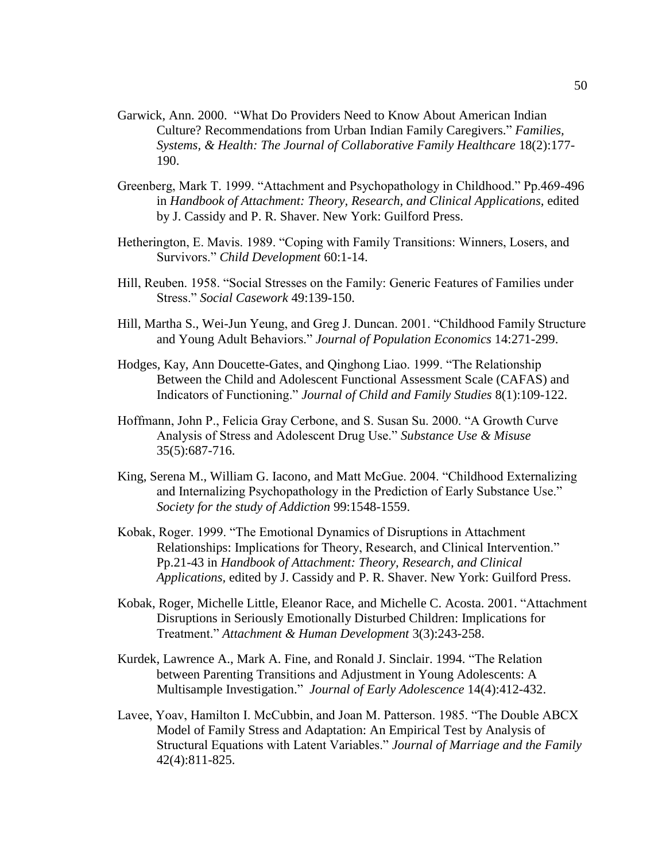- Garwick, Ann. 2000. "What Do Providers Need to Know About American Indian Culture? Recommendations from Urban Indian Family Caregivers." *Families, Systems, & Health: The Journal of Collaborative Family Healthcare* 18(2):177- 190.
- Greenberg, Mark T. 1999. "Attachment and Psychopathology in Childhood." Pp.469-496 in *Handbook of Attachment: Theory, Research, and Clinical Applications,* edited by J. Cassidy and P. R. Shaver. New York: Guilford Press.
- Hetherington, E. Mavis. 1989. "Coping with Family Transitions: Winners, Losers, and Survivors." *Child Development* 60:1-14.
- Hill, Reuben. 1958. "Social Stresses on the Family: Generic Features of Families under Stress." *Social Casework* 49:139-150.
- Hill, Martha S., Wei-Jun Yeung, and Greg J. Duncan. 2001. "Childhood Family Structure and Young Adult Behaviors." *Journal of Population Economics* 14:271-299.
- Hodges, Kay, Ann Doucette-Gates, and Qinghong Liao. 1999. "The Relationship Between the Child and Adolescent Functional Assessment Scale (CAFAS) and Indicators of Functioning." *Journal of Child and Family Studies* 8(1):109-122.
- Hoffmann, John P., Felicia Gray Cerbone, and S. Susan Su. 2000. "A Growth Curve Analysis of Stress and Adolescent Drug Use." *Substance Use & Misuse*  35(5):687-716.
- King, Serena M., William G. Iacono, and Matt McGue. 2004. "Childhood Externalizing and Internalizing Psychopathology in the Prediction of Early Substance Use." *Society for the study of Addiction* 99:1548-1559.
- Kobak, Roger. 1999. "The Emotional Dynamics of Disruptions in Attachment Relationships: Implications for Theory, Research, and Clinical Intervention." Pp.21-43 in *Handbook of Attachment: Theory, Research, and Clinical Applications,* edited by J. Cassidy and P. R. Shaver. New York: Guilford Press.
- Kobak, Roger, Michelle Little, Eleanor Race, and Michelle C. Acosta. 2001. "Attachment Disruptions in Seriously Emotionally Disturbed Children: Implications for Treatment." *Attachment & Human Development* 3(3):243-258.
- Kurdek, Lawrence A., Mark A. Fine, and Ronald J. Sinclair. 1994. "The Relation between Parenting Transitions and Adjustment in Young Adolescents: A Multisample Investigation." *Journal of Early Adolescence* 14(4):412-432.
- Lavee, Yoav, Hamilton I. McCubbin, and Joan M. Patterson. 1985. "The Double ABCX Model of Family Stress and Adaptation: An Empirical Test by Analysis of Structural Equations with Latent Variables." *Journal of Marriage and the Family*  42(4):811-825.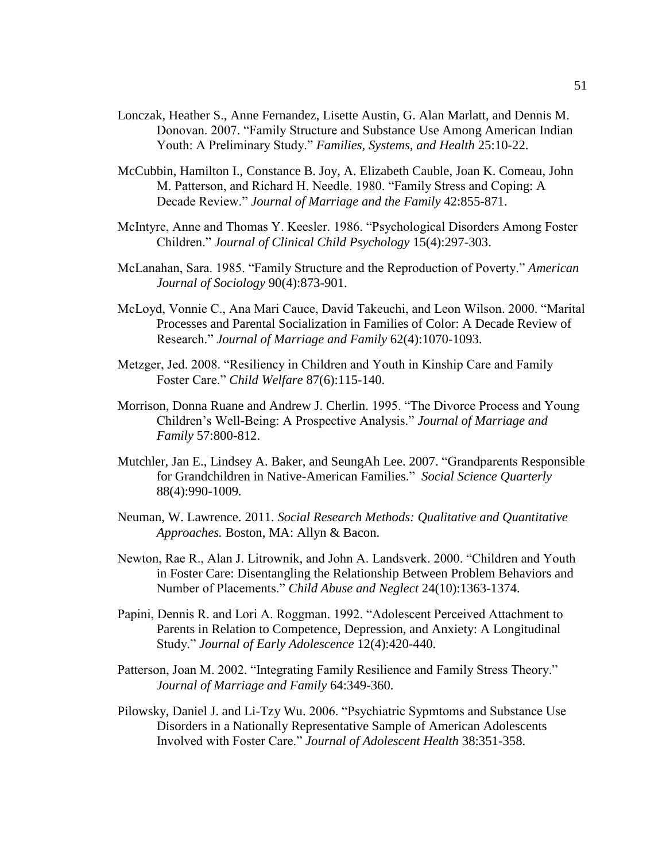- Lonczak, Heather S., Anne Fernandez, Lisette Austin, G. Alan Marlatt, and Dennis M. Donovan. 2007. "Family Structure and Substance Use Among American Indian Youth: A Preliminary Study." *Families, Systems, and Health* 25:10-22.
- McCubbin, Hamilton I., Constance B. Joy, A. Elizabeth Cauble, Joan K. Comeau, John M. Patterson, and Richard H. Needle. 1980. "Family Stress and Coping: A Decade Review." *Journal of Marriage and the Family* 42:855-871.
- McIntyre, Anne and Thomas Y. Keesler. 1986. "Psychological Disorders Among Foster Children." *Journal of Clinical Child Psychology* 15(4):297-303.
- McLanahan, Sara. 1985. "Family Structure and the Reproduction of Poverty." *American Journal of Sociology* 90(4):873-901.
- McLoyd, Vonnie C., Ana Mari Cauce, David Takeuchi, and Leon Wilson. 2000. "Marital Processes and Parental Socialization in Families of Color: A Decade Review of Research." *Journal of Marriage and Family* 62(4):1070-1093.
- Metzger, Jed. 2008. "Resiliency in Children and Youth in Kinship Care and Family Foster Care." *Child Welfare* 87(6):115-140.
- Morrison, Donna Ruane and Andrew J. Cherlin. 1995. "The Divorce Process and Young Children's Well-Being: A Prospective Analysis." *Journal of Marriage and Family* 57:800-812.
- Mutchler, Jan E., Lindsey A. Baker, and SeungAh Lee. 2007. "Grandparents Responsible for Grandchildren in Native-American Families." *Social Science Quarterly*  88(4):990-1009*.*
- Neuman, W. Lawrence. 2011. *Social Research Methods: Qualitative and Quantitative Approaches.* Boston, MA: Allyn & Bacon.
- Newton, Rae R., Alan J. Litrownik, and John A. Landsverk. 2000. "Children and Youth in Foster Care: Disentangling the Relationship Between Problem Behaviors and Number of Placements." *Child Abuse and Neglect* 24(10):1363-1374.
- Papini, Dennis R. and Lori A. Roggman. 1992. "Adolescent Perceived Attachment to Parents in Relation to Competence, Depression, and Anxiety: A Longitudinal Study." *Journal of Early Adolescence* 12(4):420-440.
- Patterson, Joan M. 2002. "Integrating Family Resilience and Family Stress Theory." *Journal of Marriage and Family* 64:349-360.
- Pilowsky, Daniel J. and Li-Tzy Wu. 2006. "Psychiatric Sypmtoms and Substance Use Disorders in a Nationally Representative Sample of American Adolescents Involved with Foster Care." *Journal of Adolescent Health* 38:351-358.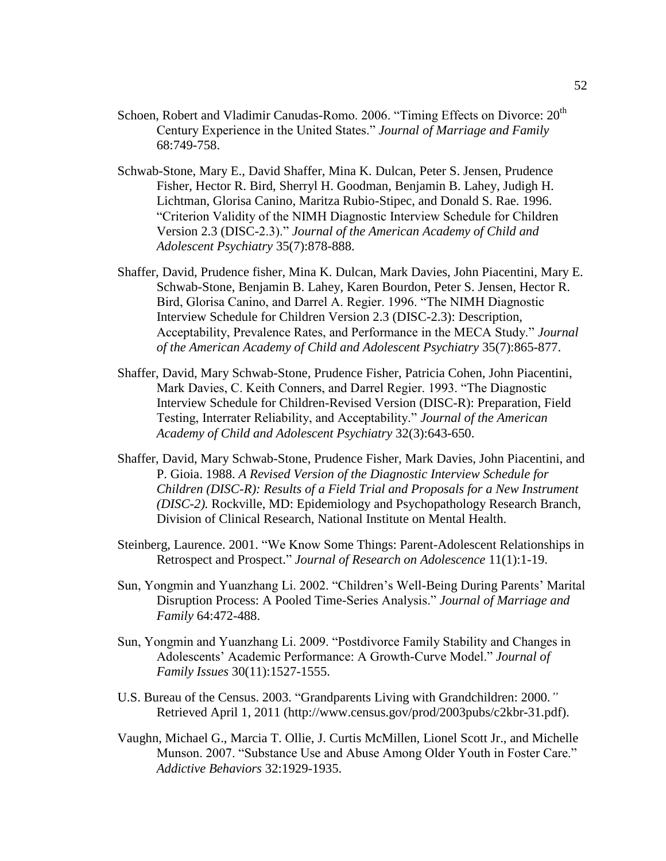- Schoen, Robert and Vladimir Canudas-Romo. 2006. "Timing Effects on Divorce: 20<sup>th</sup> Century Experience in the United States." *Journal of Marriage and Family*  68:749-758.
- Schwab-Stone, Mary E., David Shaffer, Mina K. Dulcan, Peter S. Jensen, Prudence Fisher, Hector R. Bird, Sherryl H. Goodman, Benjamin B. Lahey, Judigh H. Lichtman, Glorisa Canino, Maritza Rubio-Stipec, and Donald S. Rae. 1996. "Criterion Validity of the NIMH Diagnostic Interview Schedule for Children Version 2.3 (DISC-2.3)." *Journal of the American Academy of Child and Adolescent Psychiatry* 35(7):878-888.
- Shaffer, David, Prudence fisher, Mina K. Dulcan, Mark Davies, John Piacentini, Mary E. Schwab-Stone, Benjamin B. Lahey, Karen Bourdon, Peter S. Jensen, Hector R. Bird, Glorisa Canino, and Darrel A. Regier. 1996. "The NIMH Diagnostic Interview Schedule for Children Version 2.3 (DISC-2.3): Description, Acceptability, Prevalence Rates, and Performance in the MECA Study." *Journal of the American Academy of Child and Adolescent Psychiatry* 35(7):865-877.
- Shaffer, David, Mary Schwab-Stone, Prudence Fisher, Patricia Cohen, John Piacentini, Mark Davies, C. Keith Conners, and Darrel Regier. 1993. "The Diagnostic Interview Schedule for Children-Revised Version (DISC-R): Preparation, Field Testing, Interrater Reliability, and Acceptability." *Journal of the American Academy of Child and Adolescent Psychiatry* 32(3):643-650.
- Shaffer, David, Mary Schwab-Stone, Prudence Fisher, Mark Davies, John Piacentini, and P. Gioia. 1988. *A Revised Version of the Diagnostic Interview Schedule for Children (DISC-R): Results of a Field Trial and Proposals for a New Instrument (DISC-2).* Rockville, MD: Epidemiology and Psychopathology Research Branch, Division of Clinical Research, National Institute on Mental Health.
- Steinberg, Laurence. 2001. "We Know Some Things: Parent-Adolescent Relationships in Retrospect and Prospect." *Journal of Research on Adolescence* 11(1):1-19.
- Sun, Yongmin and Yuanzhang Li. 2002. "Children's Well-Being During Parents' Marital Disruption Process: A Pooled Time-Series Analysis." *Journal of Marriage and Family* 64:472-488.
- Sun, Yongmin and Yuanzhang Li. 2009. "Postdivorce Family Stability and Changes in Adolescents' Academic Performance: A Growth-Curve Model." *Journal of Family Issues* 30(11):1527-1555.
- U.S. Bureau of the Census. 2003. "Grandparents Living with Grandchildren: 2000*."* Retrieved April 1, 2011 (http://www.census.gov/prod/2003pubs/c2kbr-31.pdf).
- Vaughn, Michael G., Marcia T. Ollie, J. Curtis McMillen, Lionel Scott Jr., and Michelle Munson. 2007. "Substance Use and Abuse Among Older Youth in Foster Care." *Addictive Behaviors* 32:1929-1935.